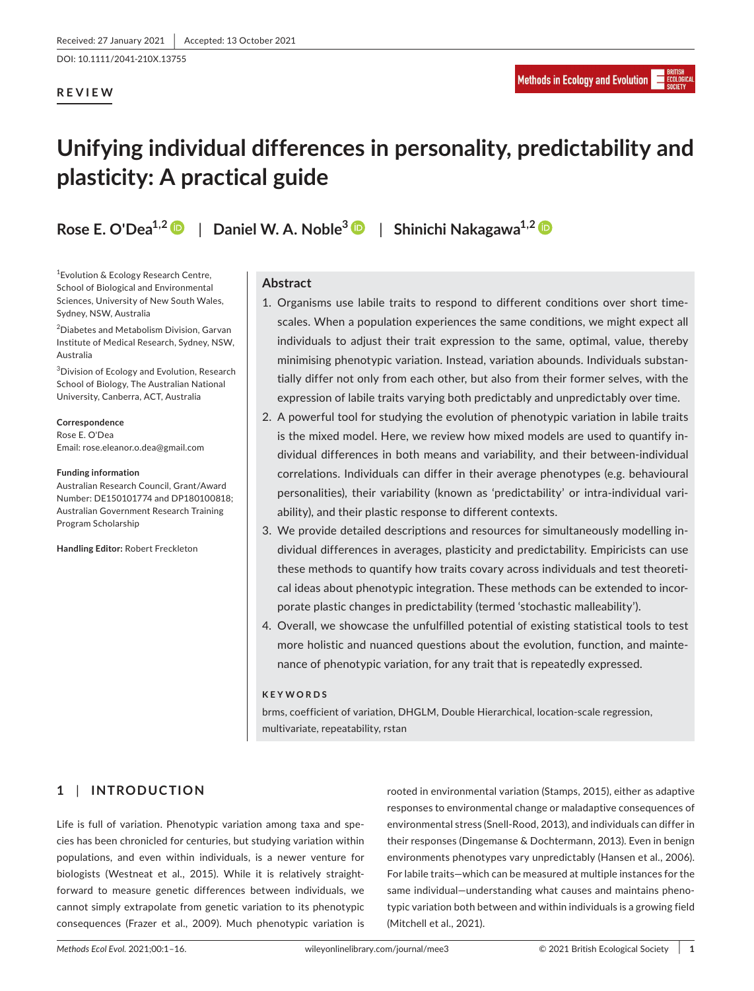DOI: 10.1111/2041-210X.13755

## **REVIEW**

# **Unifying individual differences in personality, predictability and plasticity: A practical guide**

**Rose E. O'Dea1,2** | **Daniel W. A. Noble<sup>3</sup>** | **Shinichi Nakagawa1,2**

<sup>1</sup> Evolution & Ecology Research Centre, School of Biological and Environmental Sciences, University of New South Wales, Sydney, NSW, Australia

<sup>2</sup>Diabetes and Metabolism Division, Garvan Institute of Medical Research, Sydney, NSW, Australia

<sup>3</sup>Division of Ecology and Evolution, Research School of Biology, The Australian National University, Canberra, ACT, Australia

#### **Correspondence**

Rose E. O'Dea Email: rose.eleanor.o.dea@gmail.com

#### **Funding information**

Australian Research Council, Grant/Award Number: DE150101774 and DP180100818; Australian Government Research Training Program Scholarship

**Handling Editor:** Robert Freckleton

## **Abstract**

- 1. Organisms use labile traits to respond to different conditions over short timescales. When a population experiences the same conditions, we might expect all individuals to adjust their trait expression to the same, optimal, value, thereby minimising phenotypic variation. Instead, variation abounds. Individuals substantially differ not only from each other, but also from their former selves, with the expression of labile traits varying both predictably and unpredictably over time.
- 2. A powerful tool for studying the evolution of phenotypic variation in labile traits is the mixed model. Here, we review how mixed models are used to quantify individual differences in both means and variability, and their between- individual correlations. Individuals can differ in their average phenotypes (e.g. behavioural personalities), their variability (known as 'predictability' or intra- individual variability), and their plastic response to different contexts.
- 3. We provide detailed descriptions and resources for simultaneously modelling individual differences in averages, plasticity and predictability. Empiricists can use these methods to quantify how traits covary across individuals and test theoretical ideas about phenotypic integration. These methods can be extended to incorporate plastic changes in predictability (termed 'stochastic malleability').
- 4. Overall, we showcase the unfulfilled potential of existing statistical tools to test more holistic and nuanced questions about the evolution, function, and maintenance of phenotypic variation, for any trait that is repeatedly expressed.

## **KEYWORDS**

brms, coefficient of variation, DHGLM, Double Hierarchical, location-scale regression, multivariate, repeatability, rstan

## **1** | **INTRODUCTION**

Life is full of variation. Phenotypic variation among taxa and species has been chronicled for centuries, but studying variation within populations, and even within individuals, is a newer venture for biologists (Westneat et al., 2015). While it is relatively straightforward to measure genetic differences between individuals, we cannot simply extrapolate from genetic variation to its phenotypic consequences (Frazer et al., 2009). Much phenotypic variation is

rooted in environmental variation (Stamps, 2015), either as adaptive responses to environmental change or maladaptive consequences of environmental stress (Snell- Rood, 2013), and individuals can differ in their responses (Dingemanse & Dochtermann, 2013). Even in benign environments phenotypes vary unpredictably (Hansen et al., 2006). For labile traits— which can be measured at multiple instances for the same individual— understanding what causes and maintains phenotypic variation both between and within individuals is a growing field (Mitchell et al., 2021).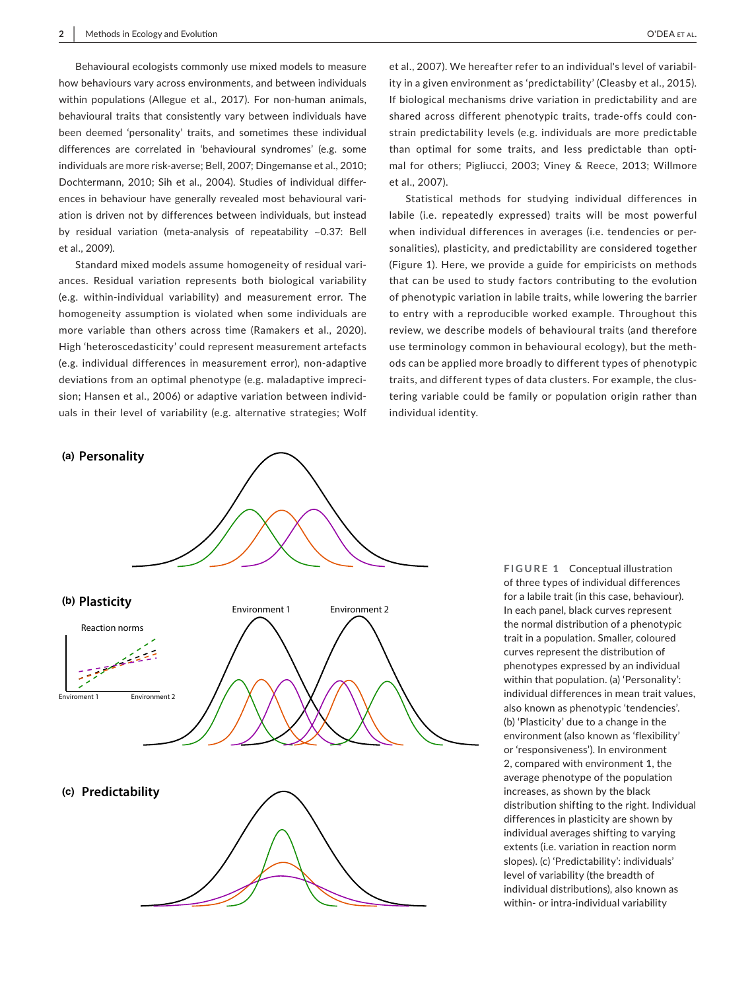Behavioural ecologists commonly use mixed models to measure how behaviours vary across environments, and between individuals within populations (Allegue et al., 2017). For non-human animals, behavioural traits that consistently vary between individuals have been deemed 'personality' traits, and sometimes these individual differences are correlated in 'behavioural syndromes' (e.g. some individuals are more risk-averse; Bell, 2007; Dingemanse et al., 2010; Dochtermann, 2010; Sih et al., 2004). Studies of individual differences in behaviour have generally revealed most behavioural variation is driven not by differences between individuals, but instead by residual variation (meta-analysis of repeatability  $\sim$ 0.37: Bell et al., 2009).

Standard mixed models assume homogeneity of residual variances. Residual variation represents both biological variability (e.g. within- individual variability) and measurement error. The homogeneity assumption is violated when some individuals are more variable than others across time (Ramakers et al., 2020). High 'heteroscedasticity' could represent measurement artefacts (e.g. individual differences in measurement error), non- adaptive deviations from an optimal phenotype (e.g. maladaptive imprecision; Hansen et al., 2006) or adaptive variation between individuals in their level of variability (e.g. alternative strategies; Wolf

et al., 2007). We hereafter refer to an individual's level of variability in a given environment as 'predictability' (Cleasby et al., 2015). If biological mechanisms drive variation in predictability and are shared across different phenotypic traits, trade-offs could constrain predictability levels (e.g. individuals are more predictable than optimal for some traits, and less predictable than optimal for others; Pigliucci, 2003; Viney & Reece, 2013; Willmore et al., 2007).

Statistical methods for studying individual differences in labile (i.e. repeatedly expressed) traits will be most powerful when individual differences in averages (i.e. tendencies or personalities), plasticity, and predictability are considered together (Figure 1). Here, we provide a guide for empiricists on methods that can be used to study factors contributing to the evolution of phenotypic variation in labile traits, while lowering the barrier to entry with a reproducible worked example. Throughout this review, we describe models of behavioural traits (and therefore use terminology common in behavioural ecology), but the methods can be applied more broadly to different types of phenotypic traits, and different types of data clusters. For example, the clustering variable could be family or population origin rather than individual identity.



**FIGURE 1** Conceptual illustration of three types of individual differences for a labile trait (in this case, behaviour). In each panel, black curves represent the normal distribution of a phenotypic trait in a population. Smaller, coloured curves represent the distribution of phenotypes expressed by an individual within that population. (a) 'Personality': individual differences in mean trait values, also known as phenotypic 'tendencies'. (b) 'Plasticity' due to a change in the environment (also known as 'flexibility' or 'responsiveness'). In environment 2, compared with environment 1, the average phenotype of the population increases, as shown by the black distribution shifting to the right. Individual differences in plasticity are shown by individual averages shifting to varying extents (i.e. variation in reaction norm slopes). (c) 'Predictability': individuals' level of variability (the breadth of individual distributions), also known as within- or intra-individual variability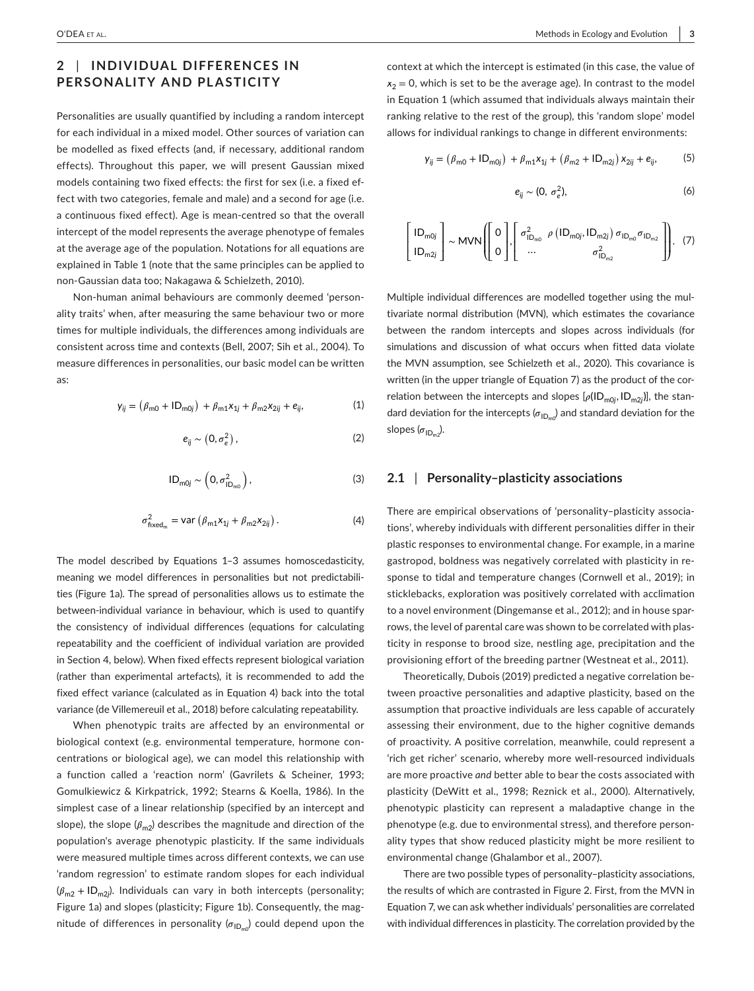# **2** | **INDIVIDUAL DIFFERENCES IN PERSONALITY AND PLASTICITY**

Personalities are usually quantified by including a random intercept for each individual in a mixed model. Other sources of variation can be modelled as fixed effects (and, if necessary, additional random effects). Throughout this paper, we will present Gaussian mixed models containing two fixed effects: the first for sex (i.e. a fixed effect with two categories, female and male) and a second for age (i.e. a continuous fixed effect). Age is mean- centred so that the overall intercept of the model represents the average phenotype of females at the average age of the population. Notations for all equations are explained in Table 1 (note that the same principles can be applied to non- Gaussian data too; Nakagawa & Schielzeth, 2010).

Non- human animal behaviours are commonly deemed 'personality traits' when, after measuring the same behaviour two or more times for multiple individuals, the differences among individuals are consistent across time and contexts (Bell, 2007; Sih et al., 2004). To measure differences in personalities, our basic model can be written as:

$$
y_{ij} = (\beta_{m0} + ID_{m0j}) + \beta_{m1}x_{1j} + \beta_{m2}x_{2ij} + e_{ij},
$$
 (1)

$$
e_{ij} \sim (0, \sigma_e^2) \,, \tag{2}
$$

$$
ID_{\text{m0j}} \sim \left(0, \sigma_{ID_{\text{m0}}}^2\right),\tag{3}
$$

$$
\sigma_{\text{fixed}_{m}}^{2} = \text{var}\left(\beta_{m1}x_{1j} + \beta_{m2}x_{2ij}\right). \tag{4}
$$

The model described by Equations 1-3 assumes homoscedasticity, meaning we model differences in personalities but not predictabilities (Figure 1a). The spread of personalities allows us to estimate the between-individual variance in behaviour, which is used to quantify the consistency of individual differences (equations for calculating repeatability and the coefficient of individual variation are provided in Section 4, below). When fixed effects represent biological variation (rather than experimental artefacts), it is recommended to add the fixed effect variance (calculated as in Equation 4) back into the total variance (de Villemereuil et al., 2018) before calculating repeatability.

When phenotypic traits are affected by an environmental or biological context (e.g. environmental temperature, hormone concentrations or biological age), we can model this relationship with a function called a 'reaction norm' (Gavrilets & Scheiner, 1993; Gomulkiewicz & Kirkpatrick, 1992; Stearns & Koella, 1986). In the simplest case of a linear relationship (specified by an intercept and slope), the slope  $(\beta_{m2})$  describes the magnitude and direction of the population's average phenotypic plasticity. If the same individuals were measured multiple times across different contexts, we can use 'random regression' to estimate random slopes for each individual (*𝛽*m2 + IDm2*<sup>j</sup>* ). Individuals can vary in both intercepts (personality; Figure 1a) and slopes (plasticity; Figure 1b). Consequently, the magnitude of differences in personality ( $\sigma_{{\sf ID}_{\sf m0}}$ ) could depend upon the context at which the intercept is estimated (in this case, the value of  $x<sub>2</sub> = 0$ , which is set to be the average age). In contrast to the model in Equation 1 (which assumed that individuals always maintain their ranking relative to the rest of the group), this 'random slope' model allows for individual rankings to change in different environments:

$$
y_{ij} = (\beta_{m0} + ID_{m0j}) + \beta_{m1}x_{1j} + (\beta_{m2} + ID_{m2j})x_{2ij} + e_{ij},
$$
 (5)

$$
e_{ij} \sim (0, \sigma_e^2), \tag{6}
$$

$$
\begin{bmatrix} \mathsf{ID}_{\mathsf{m0}j} \\ \mathsf{ID}_{\mathsf{m2}j} \end{bmatrix} \sim \mathsf{MVN} \left( \begin{bmatrix} 0 \\ 0 \end{bmatrix}, \begin{bmatrix} \sigma_{\mathsf{ID}_{\mathsf{m0}}}^2 & \rho \left( \mathsf{ID}_{\mathsf{m0}j}, \mathsf{ID}_{\mathsf{m2}j} \right) \sigma_{\mathsf{ID}_{\mathsf{m0}}} \sigma_{\mathsf{ID}_{\mathsf{m2}}} \\ \dots & \sigma_{\mathsf{ID}_{\mathsf{m2}}}^2 \end{bmatrix} \right). \tag{7}
$$

Multiple individual differences are modelled together using the multivariate normal distribution (MVN), which estimates the covariance between the random intercepts and slopes across individuals (for simulations and discussion of what occurs when fitted data violate the MVN assumption, see Schielzeth et al., 2020). This covariance is written (in the upper triangle of Equation 7) as the product of the correlation between the intercepts and slopes [ $\rho$ (ID<sub>m0j</sub>, ID<sub>m2j</sub>)], the standard deviation for the intercepts ( $\sigma_{\mathsf{ID}_{\mathsf{m} 0}}$ ) and standard deviation for the slopes ( $\sigma_{\mathsf{ID}_{\mathsf{m2}}}\rangle$ .

## **2.1** | **Personality– plasticity associations**

There are empirical observations of 'personality– plasticity associations', whereby individuals with different personalities differ in their plastic responses to environmental change. For example, in a marine gastropod, boldness was negatively correlated with plasticity in response to tidal and temperature changes (Cornwell et al., 2019); in sticklebacks, exploration was positively correlated with acclimation to a novel environment (Dingemanse et al., 2012); and in house sparrows, the level of parental care was shown to be correlated with plasticity in response to brood size, nestling age, precipitation and the provisioning effort of the breeding partner (Westneat et al., 2011).

Theoretically, Dubois (2019) predicted a negative correlation between proactive personalities and adaptive plasticity, based on the assumption that proactive individuals are less capable of accurately assessing their environment, due to the higher cognitive demands of proactivity. A positive correlation, meanwhile, could represent a 'rich get richer' scenario, whereby more well-resourced individuals are more proactive *and* better able to bear the costs associated with plasticity (DeWitt et al., 1998; Reznick et al., 2000). Alternatively, phenotypic plasticity can represent a maladaptive change in the phenotype (e.g. due to environmental stress), and therefore personality types that show reduced plasticity might be more resilient to environmental change (Ghalambor et al., 2007).

There are two possible types of personality– plasticity associations, the results of which are contrasted in Figure 2. First, from the MVN in Equation 7, we can ask whether individuals' personalities are correlated with individual differences in plasticity. The correlation provided by the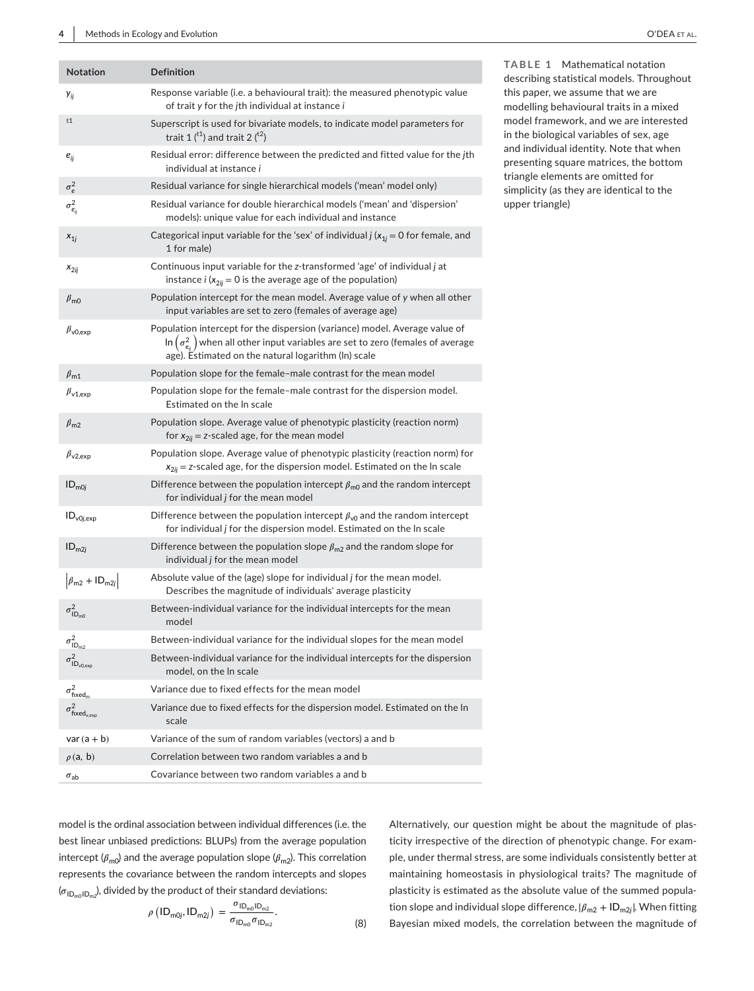| <b>Notation</b>                             | <b>Definition</b>                                                                                                                                                                                                                     |
|---------------------------------------------|---------------------------------------------------------------------------------------------------------------------------------------------------------------------------------------------------------------------------------------|
| Уij                                         | Response variable (i.e. a behavioural trait): the measured phenotypic value<br>of trait y for the jth individual at instance i                                                                                                        |
| t1                                          | Superscript is used for bivariate models, to indicate model parameters for<br>trait 1 $({}^{t1})$ and trait 2 $({}^{t2})$                                                                                                             |
| $e_{ii}$                                    | Residual error: difference between the predicted and fitted value for the jth<br>individual at instance <i>i</i>                                                                                                                      |
| $\sigma_e^2$                                | Residual variance for single hierarchical models ('mean' model only)                                                                                                                                                                  |
| $\sigma^2_{e_{ii}}$                         | Residual variance for double hierarchical models ('mean' and 'dispersion'<br>models): unique value for each individual and instance                                                                                                   |
| $x_{1i}$                                    | Categorical input variable for the 'sex' of individual $j(x_{1j} = 0$ for female, and<br>1 for male)                                                                                                                                  |
| $x_{2ii}$                                   | Continuous input variable for the z-transformed 'age' of individual j at<br>instance $i(x_{2ij} = 0$ is the average age of the population)                                                                                            |
| $\beta_{\rm m0}$                            | Population intercept for the mean model. Average value of y when all other<br>input variables are set to zero (females of average age)                                                                                                |
| $\beta_{\text{v0.}exp}$                     | Population intercept for the dispersion (variance) model. Average value of<br>In $\left(\sigma_{e_i}^2\right)$ when all other input variables are set to zero (females of average age). Estimated on the natural logarithm (In) scale |
| $\beta_{\rm m1}$                            | Population slope for the female-male contrast for the mean model                                                                                                                                                                      |
| $\beta_{\texttt{v1,exp}}$                   | Population slope for the female-male contrast for the dispersion model.<br>Estimated on the In scale                                                                                                                                  |
| $\beta_{\rm m2}$                            | Population slope. Average value of phenotypic plasticity (reaction norm)<br>for $x_{2ij} = z$ -scaled age, for the mean model                                                                                                         |
| $\beta_{\texttt{V2}.\texttt{exp}}$          | Population slope. Average value of phenotypic plasticity (reaction norm) for<br>$x_{2ij}$ = z-scaled age, for the dispersion model. Estimated on the In scale                                                                         |
| $ID_{m0i}$                                  | Difference between the population intercept $\beta_{\text{m0}}$ and the random intercept<br>for individual <i>j</i> for the mean model                                                                                                |
| $ID_{v0j,exp}$                              | Difference between the population intercept $\beta_{\nu 0}$ and the random intercept<br>for individual j for the dispersion model. Estimated on the In scale                                                                          |
| $ID_{m2i}$                                  | Difference between the population slope $\beta_{m2}$ and the random slope for<br>individual <i>j</i> for the mean model                                                                                                               |
| $\left \beta_{m2} + \text{ID}_{m2j}\right $ | Absolute value of the (age) slope for individual j for the mean model.<br>Describes the magnitude of individuals' average plasticity                                                                                                  |
| $\sigma^2_{\mathsf{ID}_{m0}}$               | Between-individual variance for the individual intercepts for the mean<br>model                                                                                                                                                       |
| $\sigma^2_\text{ID}_{\text{m2}}$            | Between-individual variance for the individual slopes for the mean model                                                                                                                                                              |
| $\sigma^2_{\mathsf{ID}_{\mathsf{v0,exp}}}$  | Between-individual variance for the individual intercepts for the dispersion<br>model, on the In scale                                                                                                                                |
| $\sigma_{\text{fixed}_m}^2$                 | Variance due to fixed effects for the mean model                                                                                                                                                                                      |
| $\sigma^2_\mathrm{fixed_{v,exp}}$           | Variance due to fixed effects for the dispersion model. Estimated on the In<br>scale                                                                                                                                                  |
| $var(a + b)$                                | Variance of the sum of random variables (vectors) a and b                                                                                                                                                                             |
| $\rho$ (a, b)                               | Correlation between two random variables a and b                                                                                                                                                                                      |
| $\sigma_{ab}$                               | Covariance between two random variables a and b                                                                                                                                                                                       |

**TABLE 1** Mathematical notation describing statistical models. Throughout this paper, we assume that we are modelling behavioural traits in a mixed model framework, and we are interested in the biological variables of sex, age and individual identity. Note that when presenting square matrices, the bottom triangle elements are omitted for simplicity (as they are identical to the upper triangle)

model is the ordinal association between individual differences (i.e. the best linear unbiased predictions: BLUPs) from the average population intercept  $(\beta_{\text{m0}})$  and the average population slope  $(\beta_{\text{m2}})$ . This correlation represents the covariance between the random intercepts and slopes  $\langle\sigma_{\mathsf{ID}_{\mathsf{m0}}|\mathsf{D}_{\mathsf{m2}}}\rangle$ , divided by the product of their standard deviations:

$$
\rho\left(1D_{m0j}, 1D_{m2j}\right) = \frac{\sigma_{1D_{m0}1D_{m2}}}{\sigma_{1D_{m0}}\sigma_{1D_{m2}}}.
$$
 (8)

Alternatively, our question might be about the magnitude of plasticity irrespective of the direction of phenotypic change. For example, under thermal stress, are some individuals consistently better at maintaining homeostasis in physiological traits? The magnitude of plasticity is estimated as the absolute value of the summed population slope and individual slope difference,  $|\beta_{\sf m2}+ {\sf ID}_{\sf m2j}|$ . When fitting 8) Bayesian mixed models, the correlation between the magnitude of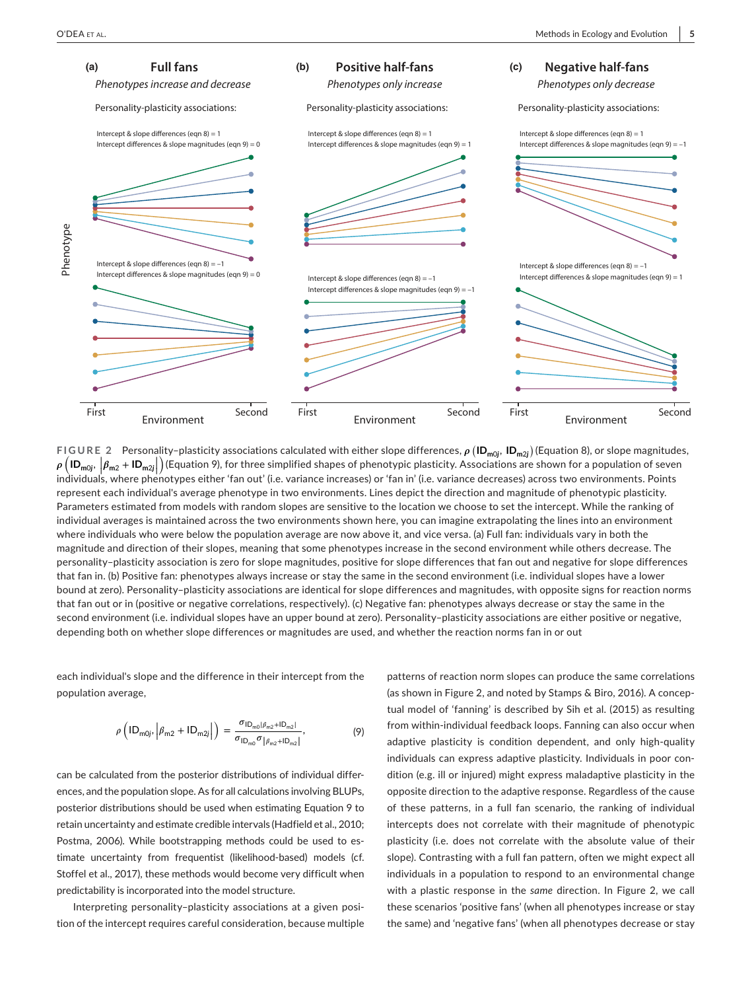

**FIGURE 2** Personality–plasticity associations calculated with either slope differences,  $\rho$  (**ID<sub>m0j</sub>, ID<sub>m2j</sub>**) (Equation 8), or slope magnitudes,  $\rho$   $\left(\mathsf{ID}_{\mathsf{m0j}}, \left| \beta_{\mathsf{m2}} + \mathsf{ID}_{\mathsf{m2j}} \right| \right)$ | | individuals, where phenotypes either 'fan out' (i.e. variance increases) or 'fan in' (i.e. variance decreases) across two environments. Points ) (Equation 9), for three simplified shapes of phenotypic plasticity. Associations are shown for a population of seven represent each individual's average phenotype in two environments. Lines depict the direction and magnitude of phenotypic plasticity. Parameters estimated from models with random slopes are sensitive to the location we choose to set the intercept. While the ranking of individual averages is maintained across the two environments shown here, you can imagine extrapolating the lines into an environment where individuals who were below the population average are now above it, and vice versa. (a) Full fan: individuals vary in both the magnitude and direction of their slopes, meaning that some phenotypes increase in the second environment while others decrease. The personality– plasticity association is zero for slope magnitudes, positive for slope differences that fan out and negative for slope differences that fan in. (b) Positive fan: phenotypes always increase or stay the same in the second environment (i.e. individual slopes have a lower bound at zero). Personality– plasticity associations are identical for slope differences and magnitudes, with opposite signs for reaction norms that fan out or in (positive or negative correlations, respectively). (c) Negative fan: phenotypes always decrease or stay the same in the second environment (i.e. individual slopes have an upper bound at zero). Personality-plasticity associations are either positive or negative, depending both on whether slope differences or magnitudes are used, and whether the reaction norms fan in or out

each individual's slope and the difference in their intercept from the population average,

$$
\rho\left(\mathsf{ID}_{\mathsf{m0j}},\left|\beta_{\mathsf{m2}} + \mathsf{ID}_{\mathsf{m2j}}\right|\right) = \frac{\sigma_{\mathsf{ID}_{\mathsf{m0}}|\beta_{\mathsf{m2}} + \mathsf{ID}_{\mathsf{m2}}|}}{\sigma_{\mathsf{ID}_{\mathsf{m0}}}\sigma_{\left|\beta_{\mathsf{m2}} + \mathsf{ID}_{\mathsf{m2}}\right|}},\tag{9}
$$

can be calculated from the posterior distributions of individual differences, and the population slope. As for all calculations involving BLUPs, posterior distributions should be used when estimating Equation 9 to retain uncertainty and estimate credible intervals (Hadfield et al., 2010; Postma, 2006). While bootstrapping methods could be used to estimate uncertainty from frequentist (likelihood-based) models (cf. Stoffel et al., 2017), these methods would become very difficult when predictability is incorporated into the model structure.

Interpreting personality– plasticity associations at a given position of the intercept requires careful consideration, because multiple patterns of reaction norm slopes can produce the same correlations (as shown in Figure 2, and noted by Stamps & Biro, 2016). A conceptual model of 'fanning' is described by Sih et al. (2015) as resulting from within-individual feedback loops. Fanning can also occur when adaptive plasticity is condition dependent, and only high-quality individuals can express adaptive plasticity. Individuals in poor condition (e.g. ill or injured) might express maladaptive plasticity in the opposite direction to the adaptive response. Regardless of the cause of these patterns, in a full fan scenario, the ranking of individual intercepts does not correlate with their magnitude of phenotypic plasticity (i.e. does not correlate with the absolute value of their slope). Contrasting with a full fan pattern, often we might expect all individuals in a population to respond to an environmental change with a plastic response in the *same* direction. In Figure 2, we call these scenarios 'positive fans' (when all phenotypes increase or stay the same) and 'negative fans' (when all phenotypes decrease or stay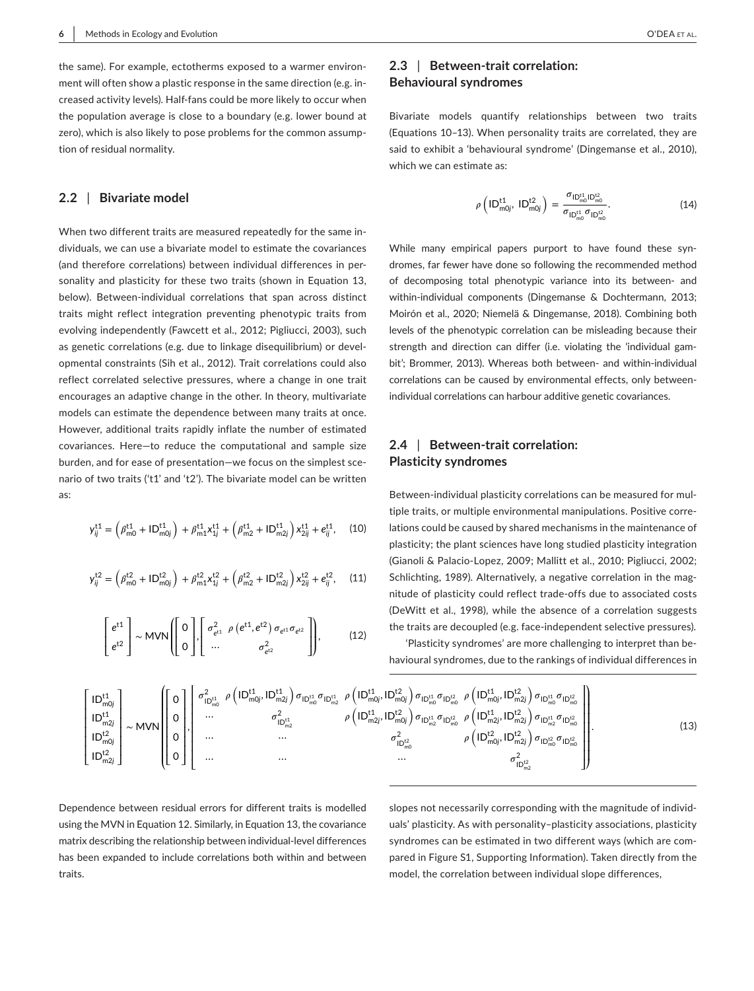the same). For example, ectotherms exposed to a warmer environment will often show a plastic response in the same direction (e.g. increased activity levels). Half-fans could be more likely to occur when the population average is close to a boundary (e.g. lower bound at zero), which is also likely to pose problems for the common assumption of residual normality.

### **2.2** | **Bivariate model**

When two different traits are measured repeatedly for the same individuals, we can use a bivariate model to estimate the covariances (and therefore correlations) between individual differences in personality and plasticity for these two traits (shown in Equation 13, below). Between-individual correlations that span across distinct traits might reflect integration preventing phenotypic traits from evolving independently (Fawcett et al., 2012; Pigliucci, 2003), such as genetic correlations (e.g. due to linkage disequilibrium) or developmental constraints (Sih et al., 2012). Trait correlations could also reflect correlated selective pressures, where a change in one trait encourages an adaptive change in the other. In theory, multivariate models can estimate the dependence between many traits at once. However, additional traits rapidly inflate the number of estimated covariances. Here-to reduce the computational and sample size burden, and for ease of presentation— we focus on the simplest scenario of two traits ('t1' and 't2'). The bivariate model can be written as:

$$
y_{ij}^{\text{t1}} = \left(\beta_{\text{m0}}^{\text{t1}} + \mathsf{ID}_{\text{m0}j}^{\text{t1}}\right) + \beta_{\text{m1}}^{\text{t1}} x_{1j}^{\text{t1}} + \left(\beta_{\text{m2}}^{\text{t1}} + \mathsf{ID}_{\text{m2}j}^{\text{t1}}\right) x_{2ij}^{\text{t1}} + e_{ij}^{\text{t1}}, \quad (10)
$$

$$
y_{ij}^{t2} = \left(\beta_{m0}^{t2} + ID_{m0j}^{t2}\right) + \beta_{m1}^{t2}x_{1j}^{t2} + \left(\beta_{m2}^{t2} + ID_{m2j}^{t2}\right)x_{2ij}^{t2} + e_{ij}^{t2},
$$
 (11)

$$
\begin{bmatrix} e^{t1} \\ e^{t2} \end{bmatrix} \sim \text{MVN} \begin{bmatrix} 0 \\ 0 \end{bmatrix}, \begin{bmatrix} \sigma_{e^{t1}}^2 & \rho(e^{t1}, e^{t2}) & \sigma_{e^{t1}} & \sigma_{e^{t2}} \\ \cdots & \sigma_{e^{t2}}^2 & \cdots \end{bmatrix}, \tag{12}
$$

## **2.3** | **Between- trait correlation: Behavioural syndromes**

Bivariate models quantify relationships between two traits (Equations 10-13). When personality traits are correlated, they are said to exhibit a 'behavioural syndrome' (Dingemanse et al., 2010), which we can estimate as:

$$
\rho\left(1D_{m0j}^{t1}, 1D_{m0j}^{t2}\right) = \frac{\sigma_{1D_{m0}^{t1}D_{m0}^{t2}}^{t1}}{\sigma_{1D_{m0}^{t1}}^{t2}D_{1D_{m0}^{t2}}^{t2}}.
$$
\n(14)

While many empirical papers purport to have found these syndromes, far fewer have done so following the recommended method of decomposing total phenotypic variance into its between-and within-individual components (Dingemanse & Dochtermann, 2013; Moirón et al., 2020; Niemelä & Dingemanse, 2018). Combining both levels of the phenotypic correlation can be misleading because their strength and direction can differ (i.e. violating the 'individual gambit'; Brommer, 2013). Whereas both between- and within-individual correlations can be caused by environmental effects, only betweenindividual correlations can harbour additive genetic covariances.

## **2.4** | **Between- trait correlation: Plasticity syndromes**

Between-individual plasticity correlations can be measured for multiple traits, or multiple environmental manipulations. Positive correlations could be caused by shared mechanisms in the maintenance of plasticity; the plant sciences have long studied plasticity integration (Gianoli & Palacio- Lopez, 2009; Mallitt et al., 2010; Pigliucci, 2002; Schlichting, 1989). Alternatively, a negative correlation in the magnitude of plasticity could reflect trade- offs due to associated costs (DeWitt et al., 1998), while the absence of a correlation suggests the traits are decoupled (e.g. face- independent selective pressures).

'Plasticity syndromes' are more challenging to interpret than behavioural syndromes, due to the rankings of individual differences in

$$
\begin{bmatrix}\n\left|D^{t1}_{\text{m0j}}\right| & & \\
\left|D^{t1}_{\text{m2j}}\right| & & \\
\left|D^{t1}_{\text{m2j}}\right| & & \\
\left|D^{t1}_{\text{m2j}}\right| & & \\
\left|D^{t2}_{\text{m0j}}\right| & & \\
\left|D^{t2}_{\text{m0j}}\right| & & \\
\left|D^{t2}_{\text{m2j}}\right| & & \\
\left|D^{t2}_{\text{m2j}}\right| & & \\
\left|D^{t2}_{\text{m2j}}\right| & & \\
\left|D^{t2}_{\text{m2j}}\right| & & \\
\left|D^{t2}_{\text{m2j}}\right| & & \\
\left|D^{t2}_{\text{m2j}}\right| & & \\
\left|D^{t2}_{\text{m2j}}\right| & & \\
\left|D^{t2}_{\text{m2j}}\right| & & \\
\left|D^{t2}_{\text{m2j}}\right| & & \\
\left|D^{t2}_{\text{m2j}}\right| & & \\
\left|D^{t2}_{\text{m2j}}\right| & & \\
\left|D^{t2}_{\text{m0j}}\right| & & \\
\left|D^{t2}_{\text{m0j}}\right| & & \\
\left|D^{t2}_{\text{m0j}}\right| & & \\
\left|D^{t2}_{\text{m0j}}\right| & & \\
\left|D^{t2}_{\text{m0j}}\right| & & \\
\left|D^{t2}_{\text{m0j}}\right| & & \\
\left|D^{t2}_{\text{m0j}}\right| & & \\
\left|D^{t2}_{\text{m0j}}\right| & & \\
\left|D^{t2}_{\text{m0j}}\right| & & \\
\left|D^{t2}_{\text{m0j}}\right| & & \\
\left|D^{t2}_{\text{m0j}}\right| & & \\
\left|D^{t2}_{\text{m0j}}\right| & & \\
\left|D^{t2}_{\text{m0j}}\right| & & \\
\left|
$$

Dependence between residual errors for different traits is modelled using the MVN in Equation 12. Similarly, in Equation 13, the covariance matrix describing the relationship between individual-level differences has been expanded to include correlations both within and between traits.

slopes not necessarily corresponding with the magnitude of individuals' plasticity. As with personality-plasticity associations, plasticity syndromes can be estimated in two different ways (which are compared in Figure S1, Supporting Information). Taken directly from the model, the correlation between individual slope differences,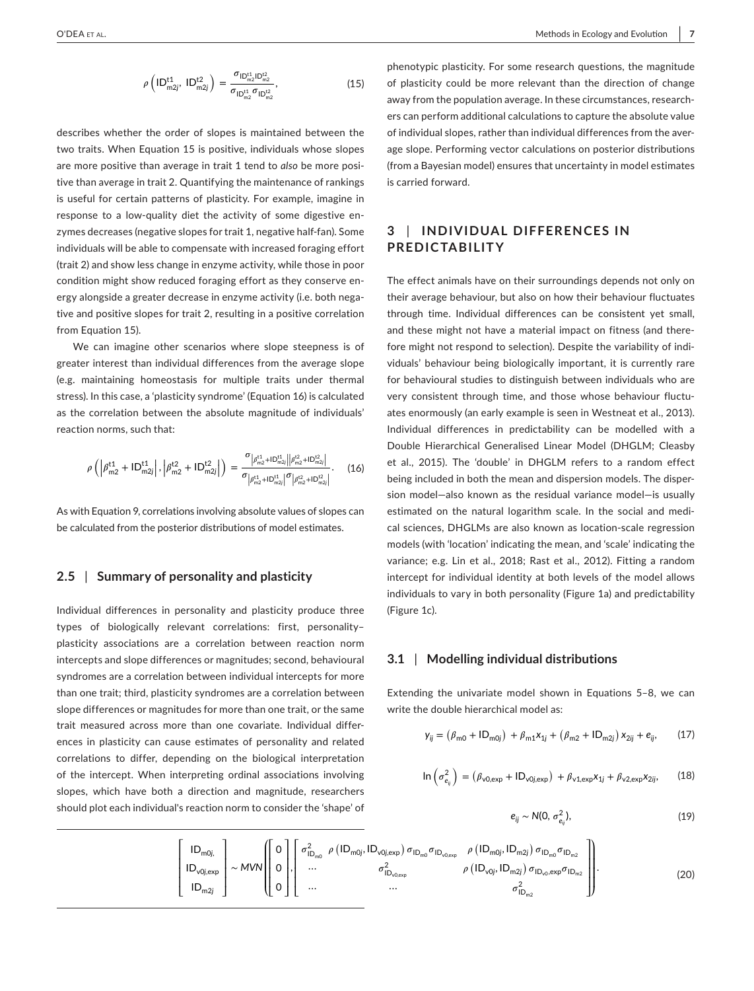$$
\rho\left(\mathsf{ID}_{\mathsf{m2}j}^{\mathsf{t1}},\,\mathsf{ID}_{\mathsf{m2}j}^{\mathsf{t2}}\right) = \frac{\sigma_{\mathsf{ID}_{\mathsf{m2}}^{\mathsf{t1}} \mathsf{D}_{\mathsf{m2}}^{\mathsf{u2}}}}{\sigma_{\mathsf{ID}_{\mathsf{m2}}^{\mathsf{t1}}} \sigma_{\mathsf{ID}_{\mathsf{m2}}^{\mathsf{u2}}}},\tag{15}
$$

describes whether the order of slopes is maintained between the two traits. When Equation 15 is positive, individuals whose slopes are more positive than average in trait 1 tend to *also* be more positive than average in trait 2. Quantifying the maintenance of rankings is useful for certain patterns of plasticity. For example, imagine in response to a low-quality diet the activity of some digestive enzymes decreases (negative slopes for trait 1, negative half-fan). Some individuals will be able to compensate with increased foraging effort (trait 2) and show less change in enzyme activity, while those in poor condition might show reduced foraging effort as they conserve energy alongside a greater decrease in enzyme activity (i.e. both negative and positive slopes for trait 2, resulting in a positive correlation from Equation 15).

We can imagine other scenarios where slope steepness is of greater interest than individual differences from the average slope (e.g. maintaining homeostasis for multiple traits under thermal stress). In this case, a 'plasticity syndrome' (Equation 16) is calculated as the correlation between the absolute magnitude of individuals' reaction norms, such that:

$$
\rho\left(\left|\beta_{m2}^{t1} + ID_{m2j}^{t1}\right|, \left|\beta_{m2}^{t2} + ID_{m2j}^{t2}\right|\right) = \frac{\sigma_{\left|\beta_{m2}^{t1} + ID_{m2j}^{t1}\right| \left|\beta_{m2}^{t2} + ID_{m2j}^{t2}\right|}}{\sigma_{\left|\beta_{m2}^{t1} + ID_{m2j}^{t1}\right|} \sigma_{\left|\beta_{m2}^{t2} + ID_{m2j}^{t2}\right|}}.
$$
 (16)

As with Equation 9, correlations involving absolute values of slopes can be calculated from the posterior distributions of model estimates.

#### **2.5** | **Summary of personality and plasticity**

Individual differences in personality and plasticity produce three types of biologically relevant correlations: first, personality– plasticity associations are a correlation between reaction norm intercepts and slope differences or magnitudes; second, behavioural syndromes are a correlation between individual intercepts for more than one trait; third, plasticity syndromes are a correlation between slope differences or magnitudes for more than one trait, or the same trait measured across more than one covariate. Individual differences in plasticity can cause estimates of personality and related correlations to differ, depending on the biological interpretation of the intercept. When interpreting ordinal associations involving slopes, which have both a direction and magnitude, researchers should plot each individual's reaction norm to consider the 'shape' of

phenotypic plasticity. For some research questions, the magnitude of plasticity could be more relevant than the direction of change away from the population average. In these circumstances, researchers can perform additional calculations to capture the absolute value of individual slopes, rather than individual differences from the average slope. Performing vector calculations on posterior distributions (from a Bayesian model) ensures that uncertainty in model estimates is carried forward.

## **3** | **INDIVIDUAL DIFFERENCES IN PREDICTABILITY**

The effect animals have on their surroundings depends not only on their average behaviour, but also on how their behaviour fluctuates through time. Individual differences can be consistent yet small, and these might not have a material impact on fitness (and therefore might not respond to selection). Despite the variability of individuals' behaviour being biologically important, it is currently rare for behavioural studies to distinguish between individuals who are very consistent through time, and those whose behaviour fluctuates enormously (an early example is seen in Westneat et al., 2013). Individual differences in predictability can be modelled with a Double Hierarchical Generalised Linear Model (DHGLM; Cleasby et al., 2015). The 'double' in DHGLM refers to a random effect being included in both the mean and dispersion models. The dispersion model-also known as the residual variance model-is usually estimated on the natural logarithm scale. In the social and medical sciences, DHGLMs are also known as location-scale regression models (with 'location' indicating the mean, and 'scale' indicating the variance; e.g. Lin et al., 2018; Rast et al., 2012). Fitting a random intercept for individual identity at both levels of the model allows individuals to vary in both personality (Figure 1a) and predictability (Figure 1c).

#### **3.1** | **Modelling individual distributions**

Extending the univariate model shown in Equations 5-8, we can write the double hierarchical model as:

$$
y_{ij} = (\beta_{m0} + ID_{m0j}) + \beta_{m1}x_{1j} + (\beta_{m2} + ID_{m2j})x_{2ij} + e_{ij},
$$
 (17)

$$
\ln\left(\sigma_{e_{ij}}^2\right) = \left(\beta_{\nu 0, \text{exp}} + \text{ID}_{\nu 0j, \text{exp}}\right) + \beta_{\nu 1, \text{exp}}x_{1j} + \beta_{\nu 2, \text{exp}}x_{2ij},\qquad(18)
$$

$$
e_{ij} \sim N(0, \sigma_{e_{ij}}^2), \qquad (19)
$$

$$
\begin{bmatrix}\nID_{m0j,} \\
ID_{v0j,exp} \\
ID_{m2j}\n\end{bmatrix}\n\sim MVN\n\begin{bmatrix}\n0 \\
0 \\
0 \\
0\n\end{bmatrix},\n\begin{bmatrix}\n\sigma_{ID_{m0}}^2 & \rho (ID_{m0j,}ID_{v0j,exp})\sigma_{ID_{m0}}\sigma_{ID_{v0,exp}} & \rho (ID_{m0j,}ID_{m2j})\sigma_{ID_{m0}}\sigma_{ID_{m2}} \\
... & \sigma_{ID_{v0,exp}}^2 & \rho (ID_{v0j,}ID_{m2j})\sigma_{ID_{v0},exp}\sigma_{ID_{m2}} \\
... & ... & \sigma_{ID_{v0}}^2\n\end{bmatrix}.
$$
\n(20)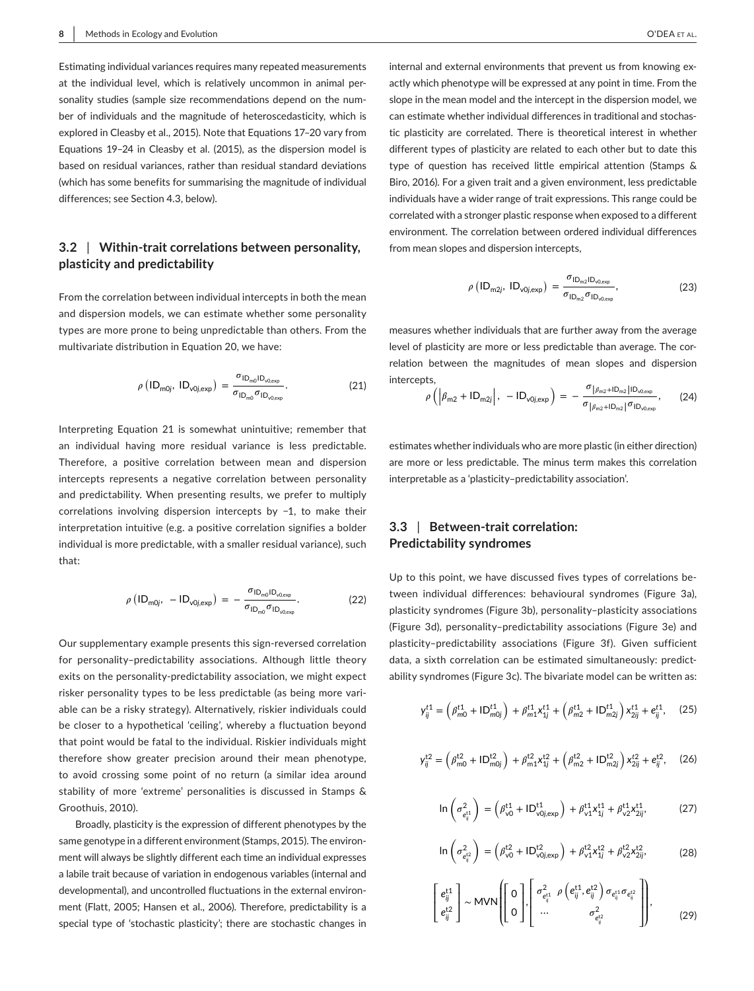Estimating individual variances requires many repeated measurements at the individual level, which is relatively uncommon in animal personality studies (sample size recommendations depend on the number of individuals and the magnitude of heteroscedasticity, which is explored in Cleasby et al., 2015). Note that Equations 17-20 vary from Equations 19-24 in Cleasby et al. (2015), as the dispersion model is based on residual variances, rather than residual standard deviations (which has some benefits for summarising the magnitude of individual differences; see Section 4.3, below).

## **3.2** | **Within- trait correlations between personality, plasticity and predictability**

From the correlation between individual intercepts in both the mean and dispersion models, we can estimate whether some personality types are more prone to being unpredictable than others. From the multivariate distribution in Equation 20, we have:

$$
\rho\left(\mathsf{ID}_{\mathsf{m0j}},\;\mathsf{ID}_{\mathsf{v0j,exp}}\right) = \frac{\sigma_{\mathsf{ID}_{\mathsf{m0}}\mathsf{ID}_{\mathsf{v0,exp}}}}{\sigma_{\mathsf{ID}_{\mathsf{m0}}\sigma_{\mathsf{ID}_{\mathsf{v0,exp}}}}}. \tag{21}
$$

Interpreting Equation 21 is somewhat unintuitive; remember that an individual having more residual variance is less predictable. Therefore, a positive correlation between mean and dispersion intercepts represents a negative correlation between personality and predictability. When presenting results, we prefer to multiply correlations involving dispersion intercepts by −1, to make their interpretation intuitive (e.g. a positive correlation signifies a bolder individual is more predictable, with a smaller residual variance), such that:

$$
\rho\left(\mathsf{ID}_{\mathsf{m0j}},\ -\mathsf{ID}_{\mathsf{v0j,exp}}\right) = -\frac{\sigma_{\mathsf{ID}_{\mathsf{m0}}\mathsf{ID}_{\mathsf{v0,exp}}}}{\sigma_{\mathsf{ID}_{\mathsf{m0}}}\sigma_{\mathsf{ID}_{\mathsf{v0,exp}}}}.\tag{22}
$$

Our supplementary example presents this sign- reversed correlation for personality-predictability associations. Although little theory exits on the personality-predictability association, we might expect risker personality types to be less predictable (as being more variable can be a risky strategy). Alternatively, riskier individuals could be closer to a hypothetical 'ceiling', whereby a fluctuation beyond that point would be fatal to the individual. Riskier individuals might therefore show greater precision around their mean phenotype, to avoid crossing some point of no return (a similar idea around stability of more 'extreme' personalities is discussed in Stamps & Groothuis, 2010).

Broadly, plasticity is the expression of different phenotypes by the same genotype in a different environment (Stamps, 2015). The environment will always be slightly different each time an individual expresses a labile trait because of variation in endogenous variables (internal and developmental), and uncontrolled fluctuations in the external environment (Flatt, 2005; Hansen et al., 2006). Therefore, predictability is a special type of 'stochastic plasticity'; there are stochastic changes in internal and external environments that prevent us from knowing exactly which phenotype will be expressed at any point in time. From the slope in the mean model and the intercept in the dispersion model, we can estimate whether individual differences in traditional and stochastic plasticity are correlated. There is theoretical interest in whether different types of plasticity are related to each other but to date this type of question has received little empirical attention (Stamps & Biro, 2016). For a given trait and a given environment, less predictable individuals have a wider range of trait expressions. This range could be correlated with a stronger plastic response when exposed to a different environment. The correlation between ordered individual differences from mean slopes and dispersion intercepts,

$$
\rho\left(\mathsf{ID}_{\mathsf{m2}j},\;\mathsf{ID}_{\mathsf{v0}j,\text{exp}}\right) = \frac{\sigma_{\mathsf{ID}_{\mathsf{m2}lD}_{\mathsf{v0}l,\text{exp}}}}{\sigma_{\mathsf{ID}_{\mathsf{m2}}\sigma_{\mathsf{ID}_{\mathsf{v0}l,\text{exp}}}},\tag{23}
$$

measures whether individuals that are further away from the average level of plasticity are more or less predictable than average. The correlation between the magnitudes of mean slopes and dispersion intercepts,

$$
\rho\left(\left|\beta_{m2} + ID_{m2j}\right|, -ID_{v0j,exp}\right) = -\frac{\sigma_{\left|\beta_{m2} + ID_{m2}\right|ID_{v0,exp}}}{\sigma_{\left|\beta_{m2} + ID_{m2}\right|}\sigma_{ID_{v0,exp}}},\qquad(24)
$$

estimates whether individuals who are more plastic (in either direction) are more or less predictable. The minus term makes this correlation interpretable as a 'plasticity– predictability association'.

# **3.3** | **Between- trait correlation: Predictability syndromes**

Up to this point, we have discussed fives types of correlations between individual differences: behavioural syndromes (Figure 3a), plasticity syndromes (Figure 3b), personality– plasticity associations (Figure 3d), personality– predictability associations (Figure 3e) and plasticity– predictability associations (Figure 3f). Given sufficient data, a sixth correlation can be estimated simultaneously: predictability syndromes (Figure 3c). The bivariate model can be written as:

$$
y_{ij}^{t1} = \left(\beta_{m0}^{t1} + \mathsf{ID}_{m0j}^{t1}\right) + \beta_{m1}^{t1} x_{1j}^{t1} + \left(\beta_{m2}^{t1} + \mathsf{ID}_{m2j}^{t1}\right) x_{2ij}^{t1} + e_{ij}^{t1},\tag{25}
$$

$$
y_{ij}^{t2} = \left(\beta_{m0}^{t2} + ID_{m0j}^{t2}\right) + \beta_{m1}^{t2}x_{1j}^{t2} + \left(\beta_{m2}^{t2} + ID_{m2j}^{t2}\right)x_{2ij}^{t2} + e_{ij}^{t2},
$$
 (26)

$$
\ln\left(\sigma_{e_{ij}^{t1}}^2\right) = \left(\beta_{\nu 0}^{t1} + \text{ID}_{\nu 0j, \text{exp}}^{t1}\right) + \beta_{\nu 1}^{t1} x_{1j}^{t1} + \beta_{\nu 2}^{t1} x_{2ij}^{t1},\tag{27}
$$

$$
\ln\left(\sigma_{e_{ij}^{L2}}^{2}\right) = \left(\beta_{\nu 0}^{t2} + ID_{\nu 0j, exp}^{t2}\right) + \beta_{\nu 1}^{t2} x_{1j}^{t2} + \beta_{\nu 2}^{t2} x_{2ij}^{t2},
$$
 (28)

$$
\begin{bmatrix} e_{ij}^{t1} \\ e_{ij}^{t2} \end{bmatrix} \sim \text{MVN} \left( \begin{bmatrix} 0 \\ 0 \end{bmatrix}, \begin{bmatrix} \sigma_{e_{ij}^{t1}}^2 & \rho \left( e_{ij}^{t1}, e_{ij}^{t2} \right) \sigma_{e_{ij}^{t1}} \sigma_{e_{ij}^{t2}} \\ \dots & \sigma_{e_{ij}^{t2}}^{2} \end{bmatrix} \right), \tag{29}
$$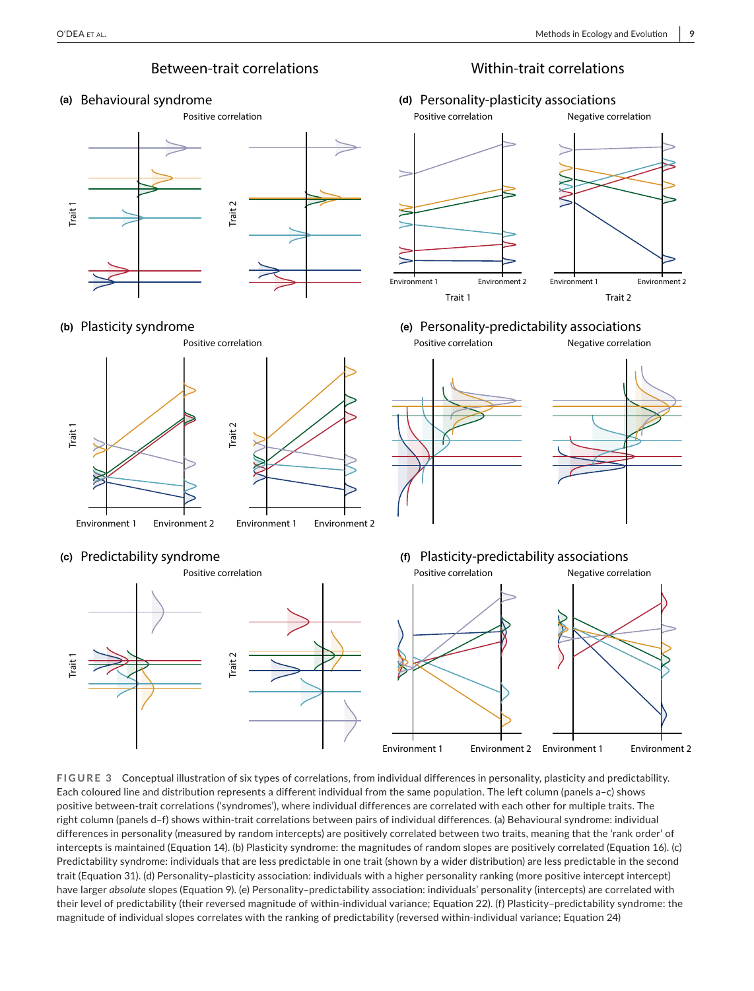

## **(a)** Behavioural syndrome



# **(b)** Plasticity syndrome



# **(c)** Predictability syndrome



# **(d)** Personality-plasticity associations



#### **(e)** Personality-predictability associations Positive correlation Negative correlation



# **(f)** Plasticity-predictability associations



**FIGURE 3** Conceptual illustration of six types of correlations, from individual differences in personality, plasticity and predictability. Each coloured line and distribution represents a different individual from the same population. The left column (panels a-c) shows positive between- trait correlations ('syndromes'), where individual differences are correlated with each other for multiple traits. The right column (panels d-f) shows within-trait correlations between pairs of individual differences. (a) Behavioural syndrome: individual differences in personality (measured by random intercepts) are positively correlated between two traits, meaning that the 'rank order' of intercepts is maintained (Equation 14). (b) Plasticity syndrome: the magnitudes of random slopes are positively correlated (Equation 16). (c) Predictability syndrome: individuals that are less predictable in one trait (shown by a wider distribution) are less predictable in the second trait (Equation 31). (d) Personality– plasticity association: individuals with a higher personality ranking (more positive intercept intercept) have larger *absolute* slopes (Equation 9). (e) Personality-predictability association: individuals' personality (intercepts) are correlated with their level of predictability (their reversed magnitude of within- individual variance; Equation 22). (f) Plasticity– predictability syndrome: the  $\frac{1}{2}$ <br>  $\frac{1}{2}$ <br>
(a) Plasticity syndrome<br>
(b) Plasticity syndrome<br>  $\frac{1}{2}$ <br>  $\frac{1}{2}$ <br>  $\frac{1}{2}$ <br>  $\frac{1}{2}$ <br>  $\frac{1}{2}$ <br>  $\frac{1}{2}$ <br>  $\frac{1}{2}$ <br>  $\frac{1}{2}$ <br>  $\frac{1}{2}$ <br>  $\frac{1}{2}$ <br>  $\frac{1}{2}$ <br>  $\frac{1}{2}$ <br>  $\frac{1}{2}$ <br>  $\frac{1}{$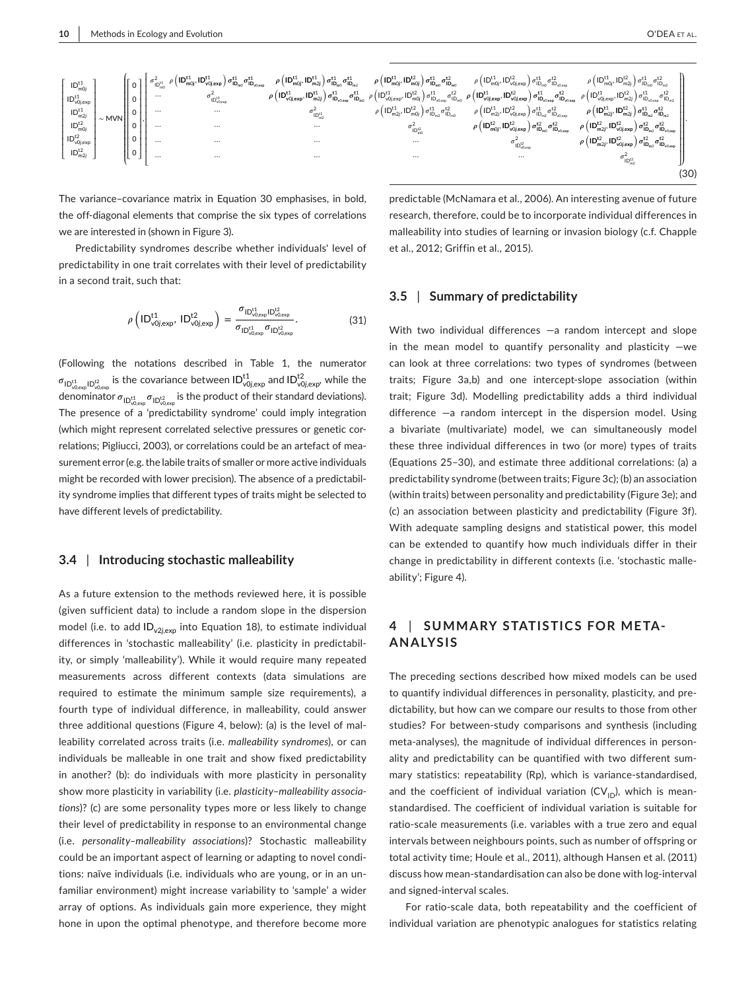$$
\begin{bmatrix} \mathbf{D}_{\text{ind}}^{t1} \\ \mathbf{D}_{\text{vol},\text{exp}}^{t1} \\ \mathbf{D}_{\text{vol},\text{exp}}^{t1} \\ \mathbf{D}_{\text{vol},\text{exp}}^{t1} \\ \mathbf{D}_{\text{ind}}^{t2} \\ \mathbf{D}_{\text{ind},2}^{t2} \\ \mathbf{D}_{\text{ind},2}^{t2} \\ \mathbf{D}_{\text{vol},\text{exp}}^{t1} \\ \mathbf{D}_{\text{vol},\text{exp}}^{t1} \\ \mathbf{D}_{\text{vol},\text{exp}}^{t2} \\ \mathbf{D}_{\text{vol},\text{exp}}^{t2} \\ \mathbf{D}_{\text{vol},\text{exp}}^{t2} \\ \mathbf{D}_{\text{vol},2}^{t2} \\ \mathbf{D}_{\text{vol},2}^{t2} \\ \mathbf{D}_{\text{vol},2}^{t2} \\ \mathbf{D}_{\text{vol},2}^{t2} \\ \mathbf{D}_{\text{vol},2}^{t2} \\ \mathbf{D}_{\text{vol},2}^{t2} \\ \mathbf{D}_{\text{vol},2}^{t2} \\ \mathbf{D}_{\text{vol},2}^{t2} \\ \mathbf{D}_{\text{vol},2}^{t2} \\ \mathbf{D}_{\text{vol},2}^{t2} \\ \mathbf{D}_{\text{vol},2}^{t2} \\ \mathbf{D}_{\text{vol},2}^{t2} \\ \mathbf{D}_{\text{vol},2}^{t2} \\ \mathbf{D}_{\text{vol},2}^{t2} \\ \mathbf{D}_{\text{vol},2}^{t2} \\ \mathbf{D}_{\text{vol},2}^{t2} \\ \mathbf{D}_{\text{vol},2}^{t2} \\ \mathbf{D}_{\text{vol},2}^{t2} \\ \mathbf{D}_{\text{vol},2}^{t2} \\ \mathbf{D}_{\text{vol},2}^{t2} \\ \mathbf{D}_{\text{vol},2}^{t2} \\ \mathbf{D}_{\text{vol},2}^{t2} \\ \mathbf{D}_{\text{vol},2}^{t2} \\ \mathbf{D}_{\text{vol},2}^{t2} \\ \mathbf{D}_{\text{vol},2}^{t2} \\ \mathbf{D}_{\text{vol},2}^{t2} \\ \mathbf{D}_{\text{vol},2}^{t2} \\ \mathbf{D}_{\text{vol},2}^{t2} \\ \mathbf{D}_{\text{vol},2}^{
$$

The variance-covariance matrix in Equation 30 emphasises, in bold, the off-diagonal elements that comprise the six types of correlations we are interested in (shown in Figure 3).

Predictability syndromes describe whether individuals' level of predictability in one trait correlates with their level of predictability in a second trait, such that:

$$
\rho\left( {\sf ID}^{\sf t1}_{\sf v0j,exp},\ {\sf ID}^{\sf t2}_{\sf v0j,exp} \right) = \frac{\sigma_{\sf ID}^{\sf t1}_{\sf v0,exp} {\sf ID}^{\sf t2}_{\sf v0,exp}}{\sigma_{\sf ID}^{\sf t1}_{\sf v0,exp}\sigma_{\sf ID}^{\sf t2}_{\sf v0,exp}}.\tag{31}
$$

(Following the notations described in Table 1, the numerator  $\sigma_{\text{ID}_{v0,exp}^{t1}|\text{D}_{v0,exp}^{t2}}$  is the covariance between  $\text{ID}_{v0j,exp}^{t1}$  and  $\text{ID}_{v0j,exp}^{t2}$ , while the denominator  $\sigma_{\text{ID}^{\text{t1}}_{\text{v0,exp}}} \sigma_{\text{ID}^{\text{t2}}_{\text{v0,exp}}}$  is the product of their standard deviations). The presence of a 'predictability syndrome' could imply integration (which might represent correlated selective pressures or genetic correlations; Pigliucci, 2003), or correlations could be an artefact of measurement error (e.g. the labile traits of smaller or more active individuals might be recorded with lower precision). The absence of a predictability syndrome implies that different types of traits might be selected to have different levels of predictability.

#### **3.4** | **Introducing stochastic malleability**

As a future extension to the methods reviewed here, it is possible (given sufficient data) to include a random slope in the dispersion model (i.e. to add ID<sub>v2j,exp</sub> into Equation 18), to estimate individual differences in 'stochastic malleability' (i.e. plasticity in predictability, or simply 'malleability'). While it would require many repeated measurements across different contexts (data simulations are required to estimate the minimum sample size requirements), a fourth type of individual difference, in malleability, could answer three additional questions (Figure 4, below): (a) is the level of malleability correlated across traits (i.e. *malleability syndromes*), or can individuals be malleable in one trait and show fixed predictability in another? (b): do individuals with more plasticity in personality show more plasticity in variability (i.e. *plasticity– malleability associations*)? (c) are some personality types more or less likely to change their level of predictability in response to an environmental change (i.e. *personality– malleability associations*)? Stochastic malleability could be an important aspect of learning or adapting to novel conditions: naïve individuals (i.e. individuals who are young, or in an unfamiliar environment) might increase variability to 'sample' a wider array of options. As individuals gain more experience, they might hone in upon the optimal phenotype, and therefore become more

predictable (McNamara et al., 2006). An interesting avenue of future research, therefore, could be to incorporate individual differences in malleability into studies of learning or invasion biology (c.f. Chapple et al., 2012; Griffin et al., 2015).

#### **3.5** | **Summary of predictability**

With two individual differences  $-a$  random intercept and slope in the mean model to quantify personality and plasticity  $-we$ can look at three correlations: two types of syndromes (between traits; Figure 3a,b) and one intercept- slope association (within trait; Figure 3d). Modelling predictability adds a third individual difference  $-a$  random intercept in the dispersion model. Using a bivariate (multivariate) model, we can simultaneously model these three individual differences in two (or more) types of traits (Equations 25– 30), and estimate three additional correlations: (a) a predictability syndrome (between traits; Figure 3c); (b) an association (within traits) between personality and predictability (Figure 3e); and (c) an association between plasticity and predictability (Figure 3f). With adequate sampling designs and statistical power, this model can be extended to quantify how much individuals differ in their change in predictability in different contexts (i.e. 'stochastic malleability'; Figure 4).

## **4** | **SUMMARY STATISTIC S FOR META-ANALYSIS**

The preceding sections described how mixed models can be used to quantify individual differences in personality, plasticity, and predictability, but how can we compare our results to those from other studies? For between-study comparisons and synthesis (including meta- analyses), the magnitude of individual differences in personality and predictability can be quantified with two different summary statistics: repeatability (Rp), which is variance-standardised, and the coefficient of individual variation  $(CV_{ID})$ , which is meanstandardised. The coefficient of individual variation is suitable for ratio- scale measurements (i.e. variables with a true zero and equal intervals between neighbours points, such as number of offspring or total activity time; Houle et al., 2011), although Hansen et al. (2011) discuss how mean- standardisation can also be done with log- interval and signed-interval scales.

For ratio-scale data, both repeatability and the coefficient of individual variation are phenotypic analogues for statistics relating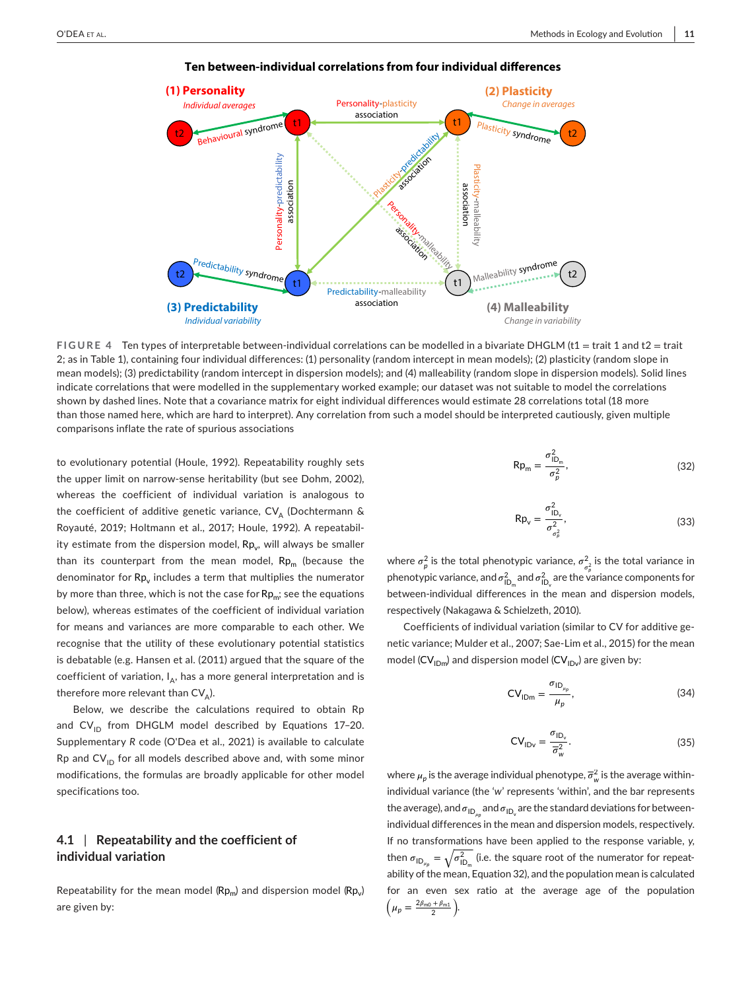

## **Ten between-individual correlations from four individual differences**

**FIGURE 4** Ten types of interpretable between- individual correlations can be modelled in a bivariate DHGLM (t1 = trait 1 and t2 = trait 2; as in Table 1), containing four individual differences: (1) personality (random intercept in mean models); (2) plasticity (random slope in mean models); (3) predictability (random intercept in dispersion models); and (4) malleability (random slope in dispersion models). Solid lines indicate correlations that were modelled in the supplementary worked example; our dataset was not suitable to model the correlations shown by dashed lines. Note that a covariance matrix for eight individual differences would estimate 28 correlations total (18 more than those named here, which are hard to interpret). Any correlation from such a model should be interpreted cautiously, given multiple comparisons inflate the rate of spurious associations

to evolutionary potential (Houle, 1992). Repeatability roughly sets the upper limit on narrow-sense heritability (but see Dohm, 2002), whereas the coefficient of individual variation is analogous to the coefficient of additive genetic variance, CV<sub>A</sub> (Dochtermann & Royauté, 2019; Holtmann et al., 2017; Houle, 1992). A repeatability estimate from the dispersion model,  $\mathsf{Rp}_\mathsf{v}$ , will always be smaller than its counterpart from the mean model,  $Rp<sub>m</sub>$  (because the denominator for  $\mathsf{Rp}_\mathsf{v}$  includes a term that multiplies the numerator by more than three, which is not the case for  $Rp_{\text{m}}$ ; see the equations below), whereas estimates of the coefficient of individual variation for means and variances are more comparable to each other. We recognise that the utility of these evolutionary potential statistics is debatable (e.g. Hansen et al. (2011) argued that the square of the coefficient of variation,  $\mathsf{I}_{\mathsf{A}}$ , has a more general interpretation and is therefore more relevant than CV<sub>A</sub>).

Below, we describe the calculations required to obtain Rp and  $CV_{1D}$  from DHGLM model described by Equations 17-20. Supplementary *R* code (O'Dea et al., 2021) is available to calculate Rp and  $CV_{ID}$  for all models described above and, with some minor modifications, the formulas are broadly applicable for other model specifications too.

## **4.1** | **Repeatability and the coefficient of individual variation**

Repeatability for the mean model ( $\mathsf{Rp}_\mathsf{m}\!\!\,)$  and dispersion model ( $\mathsf{Rp}_\mathsf{v}\!\!\,$ ) are given by:

$$
Rp_m = \frac{\sigma_{1D_m}^2}{\sigma_p^2},\tag{32}
$$

$$
Rp_v = \frac{\sigma_{ID_v}^2}{\sigma_{\sigma_p^2}^2},\tag{33}
$$

where  $\sigma_p^2$  is the total phenotypic variance,  $\sigma_{\sigma_p^2}^2$  is the total variance in phenotypic variance, and  $\sigma^2_{\text{ID}_m}$  and  $\sigma^2_{\text{ID}_v}$  are the variance components for between- individual differences in the mean and dispersion models, respectively (Nakagawa & Schielzeth, 2010).

Coefficients of individual variation (similar to CV for additive genetic variance; Mulder et al., 2007; Sae- Lim et al., 2015) for the mean model (CV $_{\sf IDm}$ ) and dispersion model (CV $_{\sf IDv}$ ) are given by:

$$
CV_{\text{IDm}} = \frac{\sigma_{\text{ID}_{\mu_p}}}{\mu_p},\tag{34}
$$

$$
CV_{IDv} = \frac{\sigma_{ID_v}}{\overline{\sigma}_w^2}.
$$
 (35)

where  $\mu_p$  is the average individual phenotype,  $\overline{\sigma}_w^2$  is the average withinindividual variance (the '*w*' represents 'within', and the bar represents the average), and  $\sigma_{\mathsf{ID}_{\mu_p}}$  and  $\sigma_{\mathsf{ID}_{\mathsf{v}}}$  are the standard deviations for betweenindividual differences in the mean and dispersion models, respectively. If no transformations have been applied to the response variable, *y*, then  $\sigma_{ID_{\mu_p}} = \sqrt{\sigma_{ID_{\mu_p}}^2}$  (i.e. the square root of the numerator for repeatability of the mean, Equation 32), and the population mean is calculated for an even sex ratio at the average age of the population  $(\mu_p = \frac{2\beta_{m0} + \beta_{m1}}{2}).$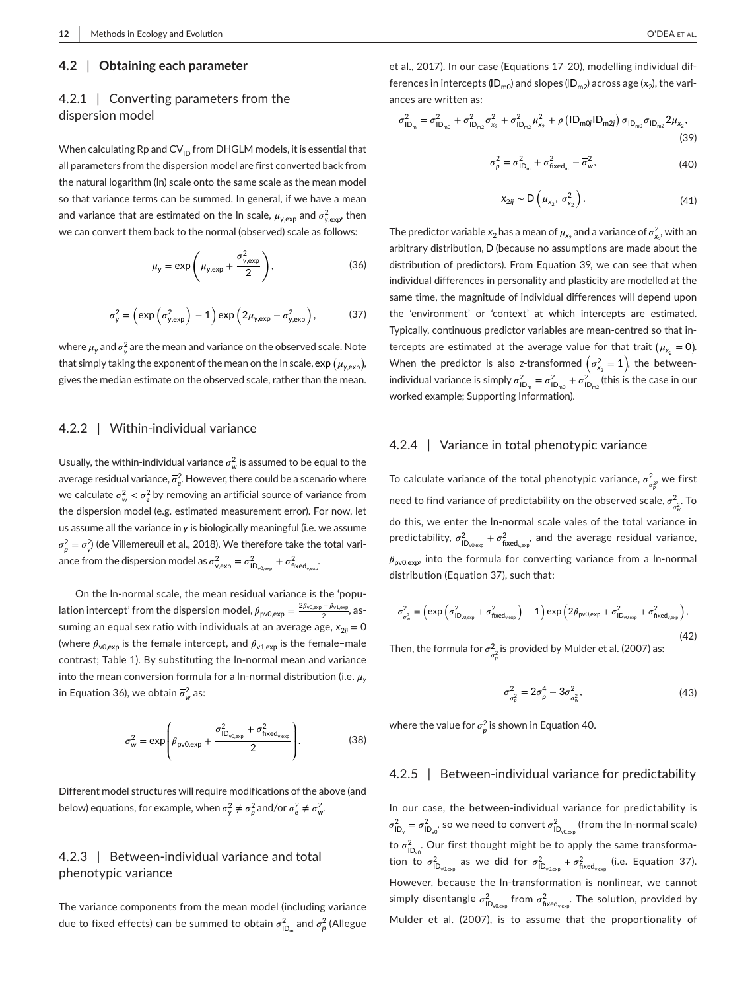## **4.2** | **Obtaining each parameter**

## 4.2.1 | Converting parameters from the dispersion model

When calculating Rp and  $CV_{ID}$  from DHGLM models, it is essential that all parameters from the dispersion model are first converted back from the natural logarithm (ln) scale onto the same scale as the mean model so that variance terms can be summed. In general, if we have a mean and variance that are estimated on the In scale,  $\mu_{y,\text{exp}}$  and  $\sigma_{y,\text{exp}}^2$ , then we can convert them back to the normal (observed) scale as follows:

$$
\mu_{y} = \exp\left(\mu_{y,\exp} + \frac{\sigma_{y,\exp}^{2}}{2}\right),\tag{36}
$$

$$
\sigma_{y}^{2} = \left(\exp\left(\sigma_{y,\exp}^{2}\right) - 1\right) \exp\left(2\mu_{y,\exp} + \sigma_{y,\exp}^{2}\right),\tag{37}
$$

where  $\mu_{\mathsf{y}}$  and  $\sigma_{\mathsf{y}}^2$  are the mean and variance on the observed scale. Note that simply taking the exponent of the mean on the In scale,  $\mathsf{exp}\left(\mu_{\mathsf{y},\mathsf{exp}}\right)$ , gives the median estimate on the observed scale, rather than the mean.

## 4.2.2 | Within-individual variance

Usually, the within-individual variance  $\overline{\sigma}_w^2$  is assumed to be equal to the average residual variance,  $\overline{\sigma}_e^2$ . However, there could be a scenario where we calculate  $\overline{\sigma}_w^2 < \overline{\sigma}_e^2$  by removing an artificial source of variance from the dispersion model (e.g. estimated measurement error). For now, let us assume all the variance in *y* is biologically meaningful (i.e. we assume  $\sigma_p^2 = \sigma_{y'}^2$  (de Villemereuil et al., 2018). We therefore take the total variance from the dispersion model as  $\sigma^2_{v,\text{exp}} = \sigma^2_{\text{ID}_{v0,\text{exp}}} + \sigma^2_{\text{fixed}_{v,\text{exp}}}$ 

On the ln- normal scale, the mean residual variance is the 'population intercept' from the dispersion model,  $\beta_{\text{pv0,exp}} = \frac{2\beta_{\text{v0,exp}} + \beta_{\text{v1,exp}}}{2}$ , assuming an equal sex ratio with individuals at an average age,  $x_{2ii} = 0$ (where  $\beta_{\nu 0, exp}$  is the female intercept, and  $\beta_{\nu 1, exp}$  is the female-male contrast; Table 1). By substituting the In-normal mean and variance into the mean conversion formula for a ln-normal distribution (i.e.  $\mu_{\rm v}$ in Equation 36), we obtain  $\overline{\sigma}_{w}^{2}$  as:

$$
\overline{\sigma}_{\mathsf{w}}^2 = \exp\left(\beta_{\mathsf{pv0,exp}} + \frac{\sigma_{\mathsf{ID}_{\mathsf{v0,exp}}}^2 + \sigma_{\mathsf{fixed}_{\mathsf{v,exp}}}^2}{2}\right).
$$
(38)

Different model structures will require modifications of the above (and below) equations, for example, when  $\sigma_{y}^{2} \neq \sigma_{p}^{2}$  and/or  $\overline{\sigma}_{e}^{2} \neq \overline{\sigma}_{w}^{2}$ .

## 4.2.3 | Between-individual variance and total phenotypic variance

The variance components from the mean model (including variance due to fixed effects) can be summed to obtain  $\sigma_{\textsf{ID}_m}^2$  and  $\sigma_p^2$  (Allegue et al., 2017). In our case (Equations 17-20), modelling individual differences in intercepts (ID<sub>m0</sub>) and slopes (ID<sub>m2</sub>) across age (x<sub>2</sub>), the variances are written as:

$$
\sigma_{\text{ID}_{m}}^{2} = \sigma_{\text{ID}_{m0}}^{2} + \sigma_{\text{ID}_{m2}}^{2} \sigma_{x_{2}}^{2} + \sigma_{\text{ID}_{m2}}^{2} \mu_{x_{2}}^{2} + \rho \left( \text{ID}_{m0j} \text{ID}_{m2j} \right) \sigma_{\text{ID}_{m0}} \sigma_{\text{ID}_{m2}} 2 \mu_{x_{2}},
$$
\n(39)

$$
\sigma_p^2 = \sigma_{\text{ID}_m}^2 + \sigma_{\text{fixed}_m}^2 + \overline{\sigma}_w^2,\tag{40}
$$

$$
x_{2ij} \sim D\left(\mu_{x_2}, \sigma_{x_2}^2\right). \tag{41}
$$

The predictor variable  $x_2$  has a mean of  $\mu_{x_2}$  and a variance of  $\sigma^2_{x_2}$ , with an arbitrary distribution, D (because no assumptions are made about the distribution of predictors). From Equation 39, we can see that when individual differences in personality and plasticity are modelled at the same time, the magnitude of individual differences will depend upon the 'environment' or 'context' at which intercepts are estimated. Typically, continuous predictor variables are mean- centred so that intercepts are estimated at the average value for that trait  $(\mu_{x_2} = 0)$ . When the predictor is also *z*-transformed  $(\sigma_{x_2}^2 = 1)$ , the betweenindividual variance is simply  $\sigma_{ID_m}^2 = \sigma_{ID_{m0}}^2 + \sigma_{ID_{m2}}^2$  (this is the case in our worked example; Supporting Information).

### 4.2.4 | Variance in total phenotypic variance

To calculate variance of the total phenotypic variance,  $\sigma_{\sigma_p^2}^2$  we first need to find variance of predictability on the observed scale,  $\sigma_{\sigma_{\rm w}^2}^2$ . To do this, we enter the ln- normal scale vales of the total variance in predictability,  $\sigma_{\text{ID}_{\text{v0,exp}}}^2 + \sigma_{\text{fixed}_{\text{v,exp}}}^2$ , and the average residual variance,  $\beta_{\text{pv0,exp}}$  into the formula for converting variance from a ln-normal distribution (Equation 37), such that:

$$
\sigma_{\sigma_w^2}^2 = \left(\exp\left(\sigma_{\text{ID}_{v0,\text{exp}}}^2 + \sigma_{\text{fixed}_{v,\text{exp}}}^2\right) - 1\right) \exp\left(2\beta_{\text{pv0},\text{exp}} + \sigma_{\text{ID}_{v0,\text{exp}}}^2 + \sigma_{\text{fixed}_{v,\text{exp}}}^2\right),\tag{42}
$$

Then, the formula for  $\sigma^2_{\sigma^2_p}$  is provided by Mulder et al. (2007) as:

$$
\sigma_{\sigma_p^2}^2 = 2\sigma_p^4 + 3\sigma_{\sigma_w^2}^2, \tag{43}
$$

where the value for  $\sigma^2_p$  is shown in Equation 40.

## 4.2.5 | Between-individual variance for predictability

In our case, the between-individual variance for predictability is  $\sigma_{\text{ID}_\text{v}}^2 = \sigma_{\text{ID}_{\text{v0}}}^2$ , so we need to convert  $\sigma_{\text{ID}_{\text{v0,exp}}}^2$  (from the ln-normal scale) to  $\sigma^2_{\mathsf{ID}_{\mathsf{v} \mathsf{O}}}$ . Our first thought might be to apply the same transformation to  $\sigma_{ID_{\sqrt{0.000}}}^2$  as we did for  $\sigma_{ID_{\sqrt{0.000}}}^2 + \sigma_{fixed_{\sqrt{0.000}}}^2$  (i.e. Equation 37). However, because the In-transformation is nonlinear, we cannot simply disentangle  $\sigma^2_{\mathsf{ID}_{\mathsf{v0,exp}}}$  from  $\sigma^2_{\mathsf{fixed_{\mathsf{vexp}}}}.$  The solution, provided by Mulder et al. (2007), is to assume that the proportionality of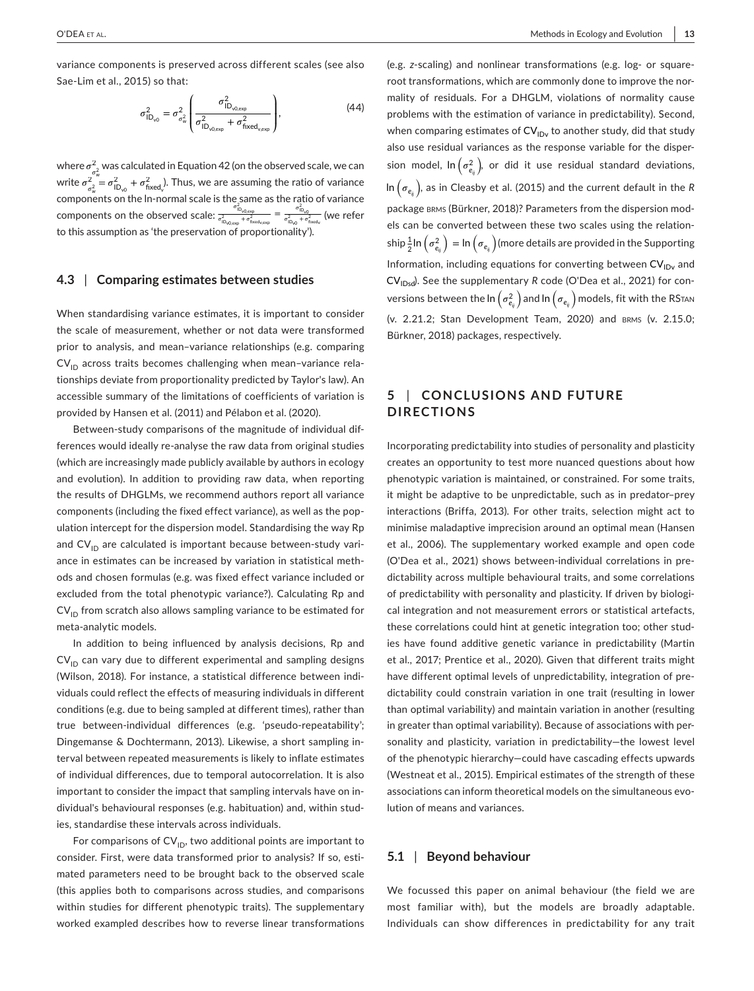variance components is preserved across different scales (see also Sae-Lim et al., 2015) so that:

$$
\sigma_{\mathsf{ID}_{\sqrt{o}}}^2 = \sigma_{\sigma_{\sqrt{o}}}^2 \left( \frac{\sigma_{\mathsf{ID}_{\sqrt{o}, \exp}}^2}{\sigma_{\mathsf{ID}_{\sqrt{o}, \exp}}^2 + \sigma_{\mathsf{fixed}_{\sqrt{e}\exp}}^2} \right),\tag{44}
$$

where  $\sigma^2$  $\frac{2}{\sigma_{\rm w}^2}$  was calculated in Equation 42 (on the observed scale, we can write  $\sigma_{\sigma_w^2}^2 = \sigma_{\text{ID}_{v0}}^2 + \sigma_{\text{fixed}_{v}}^2$ . Thus, we are assuming the ratio of variance <sub>o≠</sub> سال من المستعدد<br>Components on the ln-normal scale is the same as the ratio of variance components on the observed scale:  $\frac{\sigma^2_{\text{io}_{\text{O,Qexp}}} }{\sigma^2_{\text{lo}_{\text{O,Qexp}}} + \sigma^2_{\text{free}_{\text{Aep}}} = \frac{\sigma^2_{\text{lo}_{\text{O}}} }{\sigma^2_{\text{lo}_{\text{O}}} + \sigma^2_{\text{free}_{\text{Aep}}} }$  (we refer to this assumption as 'the preservation of proportionality').

### **4.3** | **Comparing estimates between studies**

When standardising variance estimates, it is important to consider the scale of measurement, whether or not data were transformed prior to analysis, and mean– variance relationships (e.g. comparing  $CV<sub>ID</sub>$  across traits becomes challenging when mean-variance relationships deviate from proportionality predicted by Taylor's law). An accessible summary of the limitations of coefficients of variation is provided by Hansen et al. (2011) and Pélabon et al. (2020).

Between-study comparisons of the magnitude of individual differences would ideally re-analyse the raw data from original studies (which are increasingly made publicly available by authors in ecology and evolution). In addition to providing raw data, when reporting the results of DHGLMs, we recommend authors report all variance components (including the fixed effect variance), as well as the population intercept for the dispersion model. Standardising the way Rp and  $CV_{ID}$  are calculated is important because between-study variance in estimates can be increased by variation in statistical methods and chosen formulas (e.g. was fixed effect variance included or excluded from the total phenotypic variance?). Calculating Rp and  $CV<sub>ID</sub>$  from scratch also allows sampling variance to be estimated for meta-analytic models.

In addition to being influenced by analysis decisions, Rp and  $CV<sub>ID</sub>$  can vary due to different experimental and sampling designs (Wilson, 2018). For instance, a statistical difference between individuals could reflect the effects of measuring individuals in different conditions (e.g. due to being sampled at different times), rather than true between-individual differences (e.g. 'pseudo-repeatability'; Dingemanse & Dochtermann, 2013). Likewise, a short sampling interval between repeated measurements is likely to inflate estimates of individual differences, due to temporal autocorrelation. It is also important to consider the impact that sampling intervals have on individual's behavioural responses (e.g. habituation) and, within studies, standardise these intervals across individuals.

For comparisons of  $CV_{ID}$ , two additional points are important to consider. First, were data transformed prior to analysis? If so, estimated parameters need to be brought back to the observed scale (this applies both to comparisons across studies, and comparisons within studies for different phenotypic traits). The supplementary worked exampled describes how to reverse linear transformations (e.g. *z*- scaling) and nonlinear transformations (e.g. log- or squareroot transformations, which are commonly done to improve the normality of residuals. For a DHGLM, violations of normality cause problems with the estimation of variance in predictability). Second, when comparing estimates of  $\mathsf{CV}_{\mathsf{IDv}}$  to another study, did that study also use residual variances as the response variable for the dispersion model,  $\ln \left( \sigma^2_{e_{ij}} \right)$ , or did it use residual standard deviations, In  $\left(\sigma_{e_{ij}}\right)$ , as in Cleasby et al. (2015) and the current default in the *R* package brms (Bürkner, 2018)? Parameters from the dispersion models can be converted between these two scales using the relationship $\frac{1}{2}$ In  $\left(\sigma^2_{e_{ij}}\right)$  = In  $\left(\sigma_{e_{ij}}\right)$  (more details are provided in the Supporting Information, including equations for converting between  $\text{CV}_\text{IDv}$  and CV<sub>IDsd</sub>). See the supplementary *R* code (O'Dea et al., 2021) for conversions between the In  $\left(\sigma^2_{e_{ij}}\right)$  and In  $\left(\sigma_{e_{ij}}\right)$  models, fit with the RS $\pi$ an (v. 2.21.2; Stan Development Team, 2020) and brms (v. 2.15.0; Bürkner, 2018) packages, respectively.

## **5** | **CONCLUSIONS AND FUTURE DIRECTIONS**

Incorporating predictability into studies of personality and plasticity creates an opportunity to test more nuanced questions about how phenotypic variation is maintained, or constrained. For some traits, it might be adaptive to be unpredictable, such as in predator-prey interactions (Briffa, 2013). For other traits, selection might act to minimise maladaptive imprecision around an optimal mean (Hansen et al., 2006). The supplementary worked example and open code (O'Dea et al., 2021) shows between- individual correlations in predictability across multiple behavioural traits, and some correlations of predictability with personality and plasticity. If driven by biological integration and not measurement errors or statistical artefacts, these correlations could hint at genetic integration too; other studies have found additive genetic variance in predictability (Martin et al., 2017; Prentice et al., 2020). Given that different traits might have different optimal levels of unpredictability, integration of predictability could constrain variation in one trait (resulting in lower than optimal variability) and maintain variation in another (resulting in greater than optimal variability). Because of associations with personality and plasticity, variation in predictability-the lowest level of the phenotypic hierarchy— could have cascading effects upwards (Westneat et al., 2015). Empirical estimates of the strength of these associations can inform theoretical models on the simultaneous evolution of means and variances.

## **5.1** | **Beyond behaviour**

We focussed this paper on animal behaviour (the field we are most familiar with), but the models are broadly adaptable. Individuals can show differences in predictability for any trait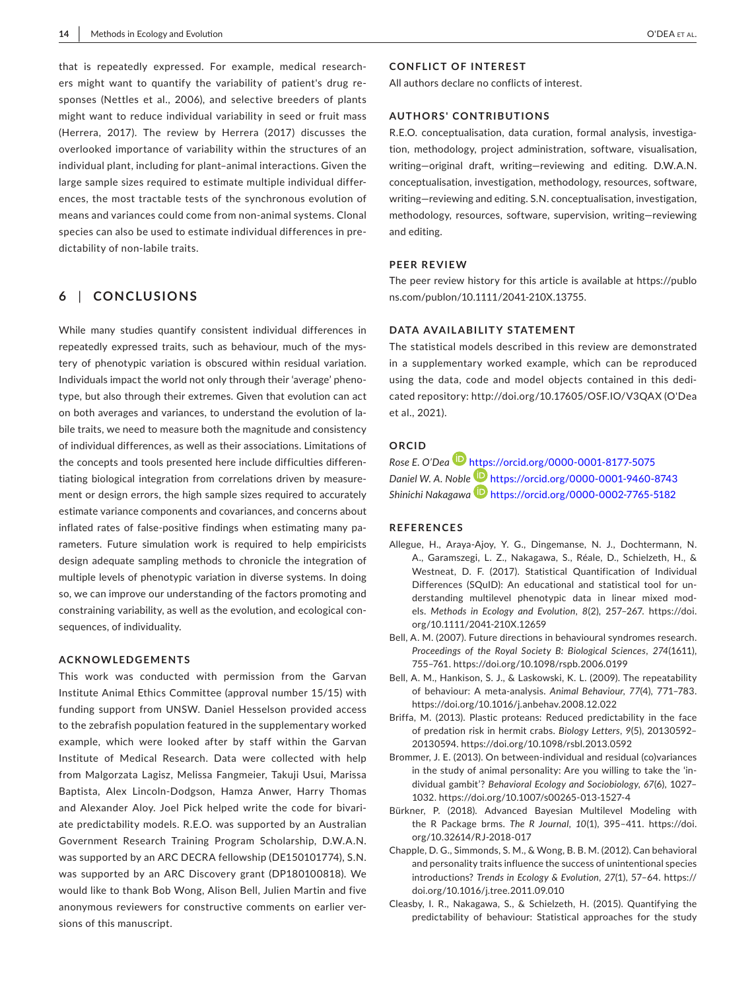that is repeatedly expressed. For example, medical researchers might want to quantify the variability of patient's drug responses (Nettles et al., 2006), and selective breeders of plants might want to reduce individual variability in seed or fruit mass (Herrera, 2017). The review by Herrera (2017) discusses the overlooked importance of variability within the structures of an individual plant, including for plant-animal interactions. Given the large sample sizes required to estimate multiple individual differences, the most tractable tests of the synchronous evolution of means and variances could come from non- animal systems. Clonal species can also be used to estimate individual differences in predictability of non-labile traits.

## **6** | **CONCLUSIONS**

While many studies quantify consistent individual differences in repeatedly expressed traits, such as behaviour, much of the mystery of phenotypic variation is obscured within residual variation. Individuals impact the world not only through their 'average' phenotype, but also through their extremes. Given that evolution can act on both averages and variances, to understand the evolution of labile traits, we need to measure both the magnitude and consistency of individual differences, as well as their associations. Limitations of the concepts and tools presented here include difficulties differentiating biological integration from correlations driven by measurement or design errors, the high sample sizes required to accurately estimate variance components and covariances, and concerns about inflated rates of false-positive findings when estimating many parameters. Future simulation work is required to help empiricists design adequate sampling methods to chronicle the integration of multiple levels of phenotypic variation in diverse systems. In doing so, we can improve our understanding of the factors promoting and constraining variability, as well as the evolution, and ecological consequences, of individuality.

#### **ACKNOWLEDGEMENTS**

This work was conducted with permission from the Garvan Institute Animal Ethics Committee (approval number 15/15) with funding support from UNSW. Daniel Hesselson provided access to the zebrafish population featured in the supplementary worked example, which were looked after by staff within the Garvan Institute of Medical Research. Data were collected with help from Malgorzata Lagisz, Melissa Fangmeier, Takuji Usui, Marissa Baptista, Alex Lincoln- Dodgson, Hamza Anwer, Harry Thomas and Alexander Aloy. Joel Pick helped write the code for bivariate predictability models. R.E.O. was supported by an Australian Government Research Training Program Scholarship, D.W.A.N. was supported by an ARC DECRA fellowship (DE150101774), S.N. was supported by an ARC Discovery grant (DP180100818). We would like to thank Bob Wong, Alison Bell, Julien Martin and five anonymous reviewers for constructive comments on earlier versions of this manuscript.

#### **CONFLICT OF INTEREST**

All authors declare no conflicts of interest.

## **AUTHORS' CONTRIBUTIONS**

R.E.O. conceptualisation, data curation, formal analysis, investigation, methodology, project administration, software, visualisation, writing— original draft, writing— reviewing and editing. D.W.A.N. conceptualisation, investigation, methodology, resources, software, writing— reviewing and editing. S.N. conceptualisation, investigation, methodology, resources, software, supervision, writing— reviewing and editing.

#### **PEER REVIEW**

The peer review history for this article is available at https://publo ns.com/publon/10.1111/2041-210X.13755.

## **DATA AVAILABILITY STATEMENT**

The statistical models described in this review are demonstrated in a supplementary worked example, which can be reproduced using the data, code and model objects contained in this dedicated repository: http://doi.org/10.17605/OSF.IO/V3QAX (O'Dea et al., 2021).

## **ORCID**

*Rose E. O'Dea* https://orcid.org/0000-0001-8177-5075 *Daniel W. A. Noble* https://orcid.org/0000-0001-9460-8743 *Shinichi Nakagawa* https://orcid.org/0000-0002-7765-5182

#### **REFERENCES**

- Allegue, H., Araya-Ajoy, Y. G., Dingemanse, N. J., Dochtermann, N. A., Garamszegi, L. Z., Nakagawa, S., Réale, D., Schielzeth, H., & Westneat, D. F. (2017). Statistical Quantification of Individual Differences (SQuID): An educational and statistical tool for understanding multilevel phenotypic data in linear mixed models. *Methods in Ecology and Evolution*, 8(2), 257-267. https://doi. org/10.1111/2041-210X.12659
- Bell, A. M. (2007). Future directions in behavioural syndromes research. *Proceedings of the Royal Society B: Biological Sciences*, *274*(1611), 755– 761. https://doi.org/10.1098/rspb.2006.0199
- Bell, A. M., Hankison, S. J., & Laskowski, K. L. (2009). The repeatability of behaviour: A meta- analysis. *Animal Behaviour*, *77*(4), 771– 783. https://doi.org/10.1016/j.anbehav.2008.12.022
- Briffa, M. (2013). Plastic proteans: Reduced predictability in the face of predation risk in hermit crabs. *Biology Letters*, *9*(5), 20130592– 20130594. https://doi.org/10.1098/rsbl.2013.0592
- Brommer, J. E. (2013). On between- individual and residual (co)variances in the study of animal personality: Are you willing to take the 'individual gambit'? *Behavioral Ecology and Sociobiology*, *67*(6), 1027– 1032. https://doi.org/10.1007/s00265-013-1527-4
- Bürkner, P. (2018). Advanced Bayesian Multilevel Modeling with the R Package brms. *The R Journal*, *10*(1), 395– 411. https://doi. org/10.32614/RJ-2018-017
- Chapple, D. G., Simmonds, S. M., & Wong, B. B. M. (2012). Can behavioral and personality traits influence the success of unintentional species introductions? *Trends in Ecology & Evolution*, *27*(1), 57– 64. https:// doi.org/10.1016/j.tree.2011.09.010
- Cleasby, I. R., Nakagawa, S., & Schielzeth, H. (2015). Quantifying the predictability of behaviour: Statistical approaches for the study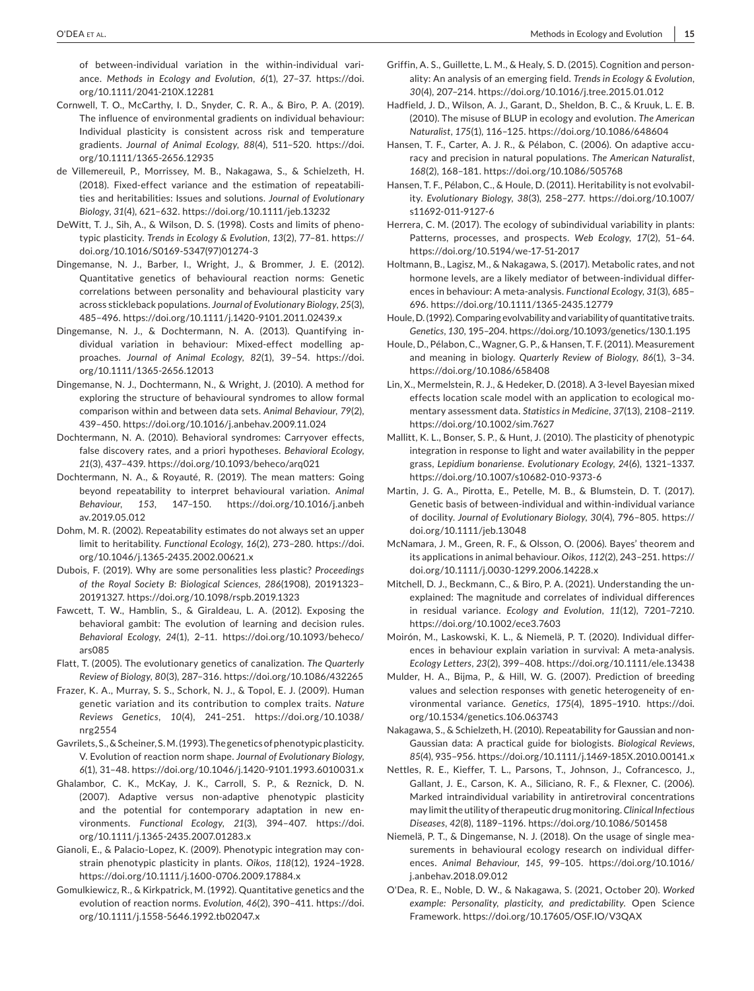of between- individual variation in the within- individual variance. *Methods in Ecology and Evolution*, 6(1), 27-37. https://doi. org/10.1111/2041-210X.12281

- Cornwell, T. O., McCarthy, I. D., Snyder, C. R. A., & Biro, P. A. (2019). The influence of environmental gradients on individual behaviour: Individual plasticity is consistent across risk and temperature gradients. *Journal of Animal Ecology*, *88*(4), 511– 520. https://doi. org/10.1111/1365-2656.12935
- de Villemereuil, P., Morrissey, M. B., Nakagawa, S., & Schielzeth, H. (2018). Fixed- effect variance and the estimation of repeatabilities and heritabilities: Issues and solutions. *Journal of Evolutionary Biology*, *31*(4), 621– 632. https://doi.org/10.1111/jeb.13232
- DeWitt, T. J., Sih, A., & Wilson, D. S. (1998). Costs and limits of phenotypic plasticity. *Trends in Ecology & Evolution*, *13*(2), 77– 81. https:// doi.org/10.1016/S0169 - 5347(97)01274 - 3
- Dingemanse, N. J., Barber, I., Wright, J., & Brommer, J. E. (2012). Quantitative genetics of behavioural reaction norms: Genetic correlations between personality and behavioural plasticity vary across stickleback populations. *Journal of Evolutionary Biology*, *25*(3), 485– 496. https://doi.org/10.1111/j.1420- 9101.2011.02439.x
- Dingemanse, N. J., & Dochtermann, N. A. (2013). Quantifying individual variation in behaviour: Mixed-effect modelling approaches. Journal of Animal Ecology, 82(1), 39-54. https://doi. org/10.1111/1365-2656.12013
- Dingemanse, N. J., Dochtermann, N., & Wright, J. (2010). A method for exploring the structure of behavioural syndromes to allow formal comparison within and between data sets. *Animal Behaviour*, *79*(2), 439-450. https://doi.org/10.1016/j.anbehav.2009.11.024
- Dochtermann, N. A. (2010). Behavioral syndromes: Carryover effects, false discovery rates, and a priori hypotheses. *Behavioral Ecology*, *21*(3), 437– 439. https://doi.org/10.1093/behec o/arq021
- Dochtermann, N. A., & Royauté, R. (2019). The mean matters: Going beyond repeatability to interpret behavioural variation. *Animal Behaviour*, *153*, 147– 150. https://doi.org/10.1016/j.anbeh av.2019.05.012
- Dohm, M. R. (2002). Repeatability estimates do not always set an upper limit to heritability. *Functional Ecology*, *16*(2), 273– 280. https://doi. org/10.1046/j.1365-2435.2002.00621.x
- Dubois, F. (2019). Why are some personalities less plastic? *Proceedings of the Royal Society B: Biological Sciences*, *286*(1908), 20191323– 20191327. https://doi.org/10.1098/rspb.2019.1323
- Fawcett, T. W., Hamblin, S., & Giraldeau, L. A. (2012). Exposing the behavioral gambit: The evolution of learning and decision rules. *Behavioral Ecology, 24(1), 2-11. https://doi.org/10.1093/beheco/* ars085
- Flatt, T. (2005). The evolutionary genetics of canalization. *The Quarterly Review of Biology*, *80*(3), 287– 316. https://doi.org/10.1086/432265
- Frazer, K. A., Murray, S. S., Schork, N. J., & Topol, E. J. (2009). Human genetic variation and its contribution to complex traits. *Nature Reviews Genetics*, *10*(4), 241– 251. https://doi.org/10.1038/ nrg2554
- Gavrilets, S., & Scheiner, S. M. (1993). The genetics of phenotypic plasticity. V. Evolution of reaction norm shape. *Journal of Evolutionary Biology*, *6*(1), 31-48. https://doi.org/10.1046/j.1420-9101.1993.6010031.x
- Ghalambor, C. K., McKay, J. K., Carroll, S. P., & Reznick, D. N. (2007). Adaptive versus non-adaptive phenotypic plasticity and the potential for contemporary adaptation in new environments. *Functional Ecology*, *21*(3), 394– 407. https://doi. org/10.1111/j.1365-2435.2007.01283.x
- Gianoli, E., & Palacio- Lopez, K. (2009). Phenotypic integration may constrain phenotypic plasticity in plants. *Oikos*, *118*(12), 1924– 1928. https://doi.org/10.1111/j.1600- 0706.2009.17884.x
- Gomulkiewicz, R., & Kirkpatrick, M. (1992). Quantitative genetics and the evolution of reaction norms. *Evolution*, *46*(2), 390– 411. https://doi. org/10.1111/j.1558- 5646.1992.tb020 47.x
- Griffin, A. S., Guillette, L. M., & Healy, S. D. (2015). Cognition and personality: An analysis of an emerging field. *Trends in Ecology & Evolution*, *30*(4), 207– 214. https://doi.org/10.1016/j.tree.2015.01.012
- Hadfield, J. D., Wilson, A. J., Garant, D., Sheldon, B. C., & Kruuk, L. E. B. (2010). The misuse of BLUP in ecology and evolution. *The American Naturalist*, *175*(1), 116– 125. https://doi.org/10.1086/648604
- Hansen, T. F., Carter, A. J. R., & Pélabon, C. (2006). On adaptive accuracy and precision in natural populations. *The American Naturalist*, 168(2), 168-181. https://doi.org/10.1086/505768
- Hansen, T. F., Pélabon, C., & Houle, D. (2011). Heritability is not evolvability. *Evolutionary Biology*, *38*(3), 258– 277. https://doi.org/10.1007/ s11692-011-9127-6
- Herrera, C. M. (2017). The ecology of subindividual variability in plants: Patterns, processes, and prospects. Web Ecology, 17(2), 51-64. https://doi.org/10.5194/we-17-51-2017
- Holtmann, B., Lagisz, M., & Nakagawa, S. (2017). Metabolic rates, and not hormone levels, are a likely mediator of between-individual differences in behaviour: A meta- analysis. *Functional Ecology*, *31*(3), 685– 696. https://doi.org/10.1111/1365- 2435.12779
- Houle, D. (1992). Comparing evolvability and variability of quantitative traits. *Genetics*, *130*, 195– 204. https://doi.org/10.1093/genet ics/130.1.195
- Houle, D., Pélabon, C., Wagner, G. P., & Hansen, T. F. (2011). Measurement and meaning in biology. *Quarterly Review of Biology*, *86*(1), 3– 34. https://doi.org/10.1086/658408
- Lin, X., Mermelstein, R. J., & Hedeker, D. (2018). A 3- level Bayesian mixed effects location scale model with an application to ecological momentary assessment data. *Statistics in Medicine*, *37*(13), 2108– 2119. https://doi.org/10.1002/sim.7627
- Mallitt, K. L., Bonser, S. P., & Hunt, J. (2010). The plasticity of phenotypic integration in response to light and water availability in the pepper grass, *Lepidium bonariense*. *Evolutionary Ecology*, *24*(6), 1321– 1337. https://doi.org/10.1007/s10682-010-9373-6
- Martin, J. G. A., Pirotta, E., Petelle, M. B., & Blumstein, D. T. (2017). Genetic basis of between- individual and within- individual variance of docility. *Journal of Evolutionary Biology*, *30*(4), 796– 805. https:// doi.org/10.1111/jeb.13048
- McNamara, J. M., Green, R. F., & Olsson, O. (2006). Bayes' theorem and its applications in animal behaviour. Oikos, 112(2), 243-251. https:// doi.org/10.1111/j.0030-1299.2006.14228.x
- Mitchell, D. J., Beckmann, C., & Biro, P. A. (2021). Understanding the unexplained: The magnitude and correlates of individual differences in residual variance. *Ecology and Evolution*, 11(12), 7201-7210. https://doi.org/10.1002/ece3.7603
- Moirón, M., Laskowski, K. L., & Niemelä, P. T. (2020). Individual differences in behaviour explain variation in survival: A meta-analysis. *Ecology Letters*, *23*(2), 399– 408. https://doi.org/10.1111/ele.13438
- Mulder, H. A., Bijma, P., & Hill, W. G. (2007). Prediction of breeding values and selection responses with genetic heterogeneity of environmental variance. *Genetics*, *175*(4), 1895– 1910. https://doi. org/10.1534/genetics.106.063743
- Nakagawa, S., & Schielzeth, H. (2010). Repeatability for Gaussian and non-Gaussian data: A practical guide for biologists. *Biological Reviews*, *85*(4), 935– 956. https://doi.org/10.1111/j.1469- 185X.2010.00141.x
- Nettles, R. E., Kieffer, T. L., Parsons, T., Johnson, J., Cofrancesco, J., Gallant, J. E., Carson, K. A., Siliciano, R. F., & Flexner, C. (2006). Marked intraindividual variability in antiretroviral concentrations may limit the utility of therapeutic drug monitoring. *Clinical Infectious Diseases*, *42*(8), 1189– 1196. https://doi.org/10.1086/501458
- Niemelä, P. T., & Dingemanse, N. J. (2018). On the usage of single measurements in behavioural ecology research on individual differences. *Animal Behaviour*, *145*, 99– 105. https://doi.org/10.1016/ j.anbehav.2018.09.012
- O'Dea, R. E., Noble, D. W., & Nakagawa, S. (2021, October 20). *Worked example: Personality, plasticity, and predictability*. Open Science Framework. https://doi.org/10.17605/ OSF.IO/V3QAX